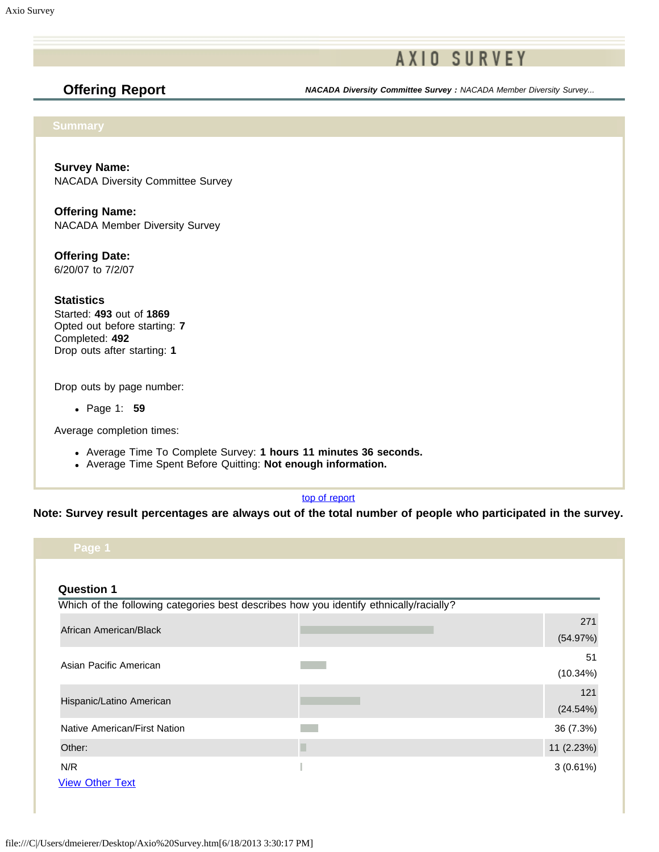# **AXIO SURVEY**

**Offering Report** *NACADA Diversity Committee Survey : NACADA Member Diversity Survey...*

**Survey Name:** NACADA Diversity Committee Survey

**Offering Name:** NACADA Member Diversity Survey

**Offering Date:** 6/20/07 to 7/2/07

**Statistics** Started: **493** out of **1869** Opted out before starting: **7** Completed: **492** Drop outs after starting: **1**

Drop outs by page number:

Page 1: **59**

Average completion times:

- Average Time To Complete Survey: **1 hours 11 minutes 36 seconds.**
- Average Time Spent Before Quitting: **Not enough information.**

### [top of report](https://online.ksu.edu/Survey/PublicReport?offeringId=70361#top)

**Note: Survey result percentages are always out of the total number of people who participated in the survey.**

| Page 1                        |                                                                                        |                 |
|-------------------------------|----------------------------------------------------------------------------------------|-----------------|
| <b>Question 1</b>             | Which of the following categories best describes how you identify ethnically/racially? |                 |
| African American/Black        |                                                                                        | 271<br>(54.97%) |
| Asian Pacific American        |                                                                                        | 51<br>(10.34%)  |
| Hispanic/Latino American      |                                                                                        | 121<br>(24.54%) |
| Native American/First Nation  |                                                                                        | 36 (7.3%)       |
| Other:                        |                                                                                        | 11 (2.23%)      |
| N/R<br><b>View Other Text</b> |                                                                                        | 3(0.61%)        |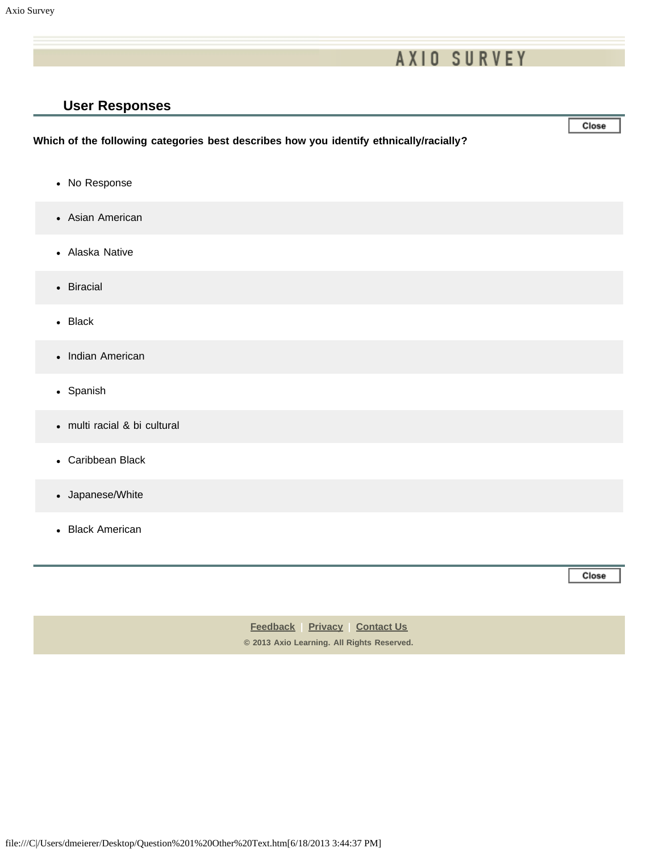# **AXIO SURVEY**

### **User Responses**

### **Which of the following categories best describes how you identify ethnically/racially?**

- No Response
- Asian American
- Alaska Native
- Biracial
- Black
- Indian American
- Spanish
- multi racial & bi cultural
- Caribbean Black
- Japanese/White
- Black American

Close

Close

**[Feedback](https://online.ksu.edu/Survey/public/feedback.jsp) | [Privacy](https://online.ksu.edu/Survey/public/privacy.jsp) | [Contact Us](https://online.ksu.edu/Survey/public/plain_about_us.jsp) © 2013 Axio Learning. All Rights Reserved.**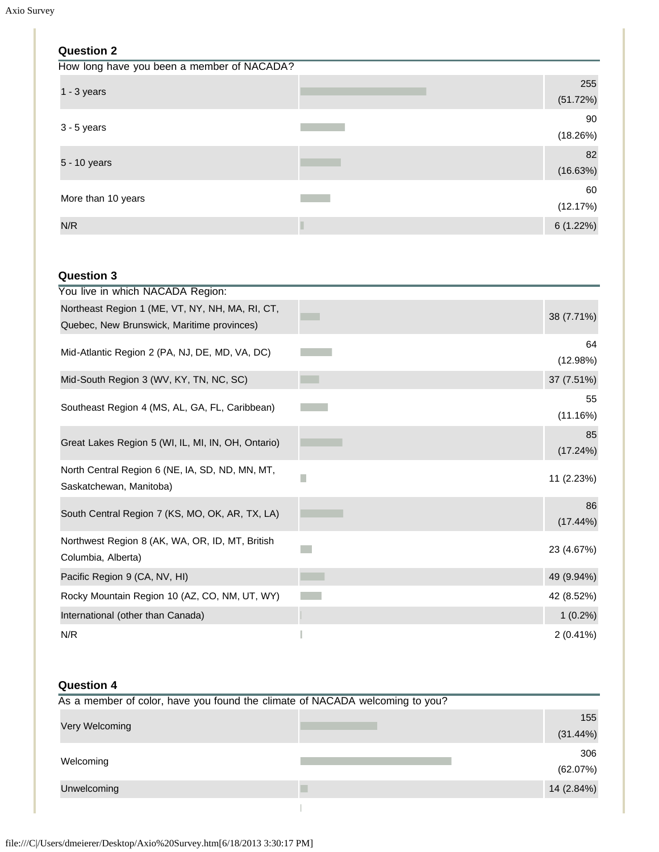| <b>Question 2</b>                          |                 |
|--------------------------------------------|-----------------|
| How long have you been a member of NACADA? |                 |
| $1 - 3$ years                              | 255<br>(51.72%) |
| $3 - 5$ years                              | 90<br>(18.26%)  |
| 5 - 10 years                               | 82<br>(16.63%)  |
| More than 10 years                         | 60<br>(12.17%)  |
| N/R                                        | 6(1.22%)        |

## **Question 3**

| You live in which NACADA Region:                                                              |                        |
|-----------------------------------------------------------------------------------------------|------------------------|
| Northeast Region 1 (ME, VT, NY, NH, MA, RI, CT,<br>Quebec, New Brunswick, Maritime provinces) | 38 (7.71%)             |
| Mid-Atlantic Region 2 (PA, NJ, DE, MD, VA, DC)                                                | 64                     |
| Mid-South Region 3 (WV, KY, TN, NC, SC)                                                       | (12.98%)<br>37 (7.51%) |
| Southeast Region 4 (MS, AL, GA, FL, Caribbean)                                                | 55<br>(11.16%)         |
| Great Lakes Region 5 (WI, IL, MI, IN, OH, Ontario)                                            | 85<br>(17.24%)         |
| North Central Region 6 (NE, IA, SD, ND, MN, MT,<br>Saskatchewan, Manitoba)                    | 11 (2.23%)             |
| South Central Region 7 (KS, MO, OK, AR, TX, LA)                                               | 86<br>(17.44%)         |
| Northwest Region 8 (AK, WA, OR, ID, MT, British<br>Columbia, Alberta)                         | 23 (4.67%)             |
| Pacific Region 9 (CA, NV, HI)                                                                 | 49 (9.94%)             |
| Rocky Mountain Region 10 (AZ, CO, NM, UT, WY)                                                 | 42 (8.52%)             |
| International (other than Canada)                                                             | $1(0.2\%)$             |
| N/R                                                                                           | $2(0.41\%)$            |

## **Question 4**

| As a member of color, have you found the climate of NACADA welcoming to you? |  |            |  |
|------------------------------------------------------------------------------|--|------------|--|
| Very Welcoming                                                               |  | 155        |  |
|                                                                              |  | (31.44%)   |  |
| Welcoming                                                                    |  | 306        |  |
|                                                                              |  | (62.07%)   |  |
| Unwelcoming                                                                  |  | 14 (2.84%) |  |
|                                                                              |  |            |  |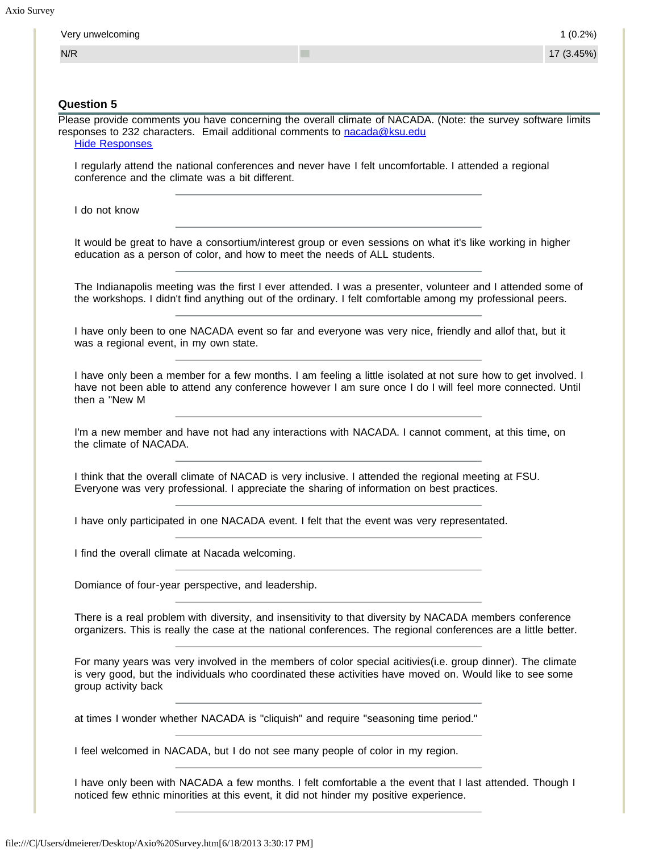| N/R                                             | ٠                                                                                                                                                                                                                          | 17 (3.45%) |
|-------------------------------------------------|----------------------------------------------------------------------------------------------------------------------------------------------------------------------------------------------------------------------------|------------|
|                                                 |                                                                                                                                                                                                                            |            |
| <b>Question 5</b>                               |                                                                                                                                                                                                                            |            |
| <b>Hide Responses</b>                           | Please provide comments you have concerning the overall climate of NACADA. (Note: the survey software limits<br>responses to 232 characters. Email additional comments to nacada@ksu.edu                                   |            |
| conference and the climate was a bit different. | I regularly attend the national conferences and never have I felt uncomfortable. I attended a regional                                                                                                                     |            |
| I do not know                                   |                                                                                                                                                                                                                            |            |
|                                                 | It would be great to have a consortium/interest group or even sessions on what it's like working in higher<br>education as a person of color, and how to meet the needs of ALL students.                                   |            |
|                                                 | The Indianapolis meeting was the first I ever attended. I was a presenter, volunteer and I attended some of<br>the workshops. I didn't find anything out of the ordinary. I felt comfortable among my professional peers.  |            |
| was a regional event, in my own state.          | I have only been to one NACADA event so far and everyone was very nice, friendly and allof that, but it                                                                                                                    |            |
| then a "New M                                   | I have only been a member for a few months. I am feeling a little isolated at not sure how to get involved. I<br>have not been able to attend any conference however I am sure once I do I will feel more connected. Until |            |
| the climate of NACADA.                          | I'm a new member and have not had any interactions with NACADA. I cannot comment, at this time, on                                                                                                                         |            |
|                                                 | I think that the overall climate of NACAD is very inclusive. I attended the regional meeting at FSU.<br>Everyone was very professional. I appreciate the sharing of information on best practices.                         |            |
|                                                 | I have only participated in one NACADA event. I felt that the event was very representated.                                                                                                                                |            |
| I find the overall climate at Nacada welcoming. |                                                                                                                                                                                                                            |            |
|                                                 | Domiance of four-year perspective, and leadership.                                                                                                                                                                         |            |
|                                                 | There is a real problem with diversity, and insensitivity to that diversity by NACADA members conference<br>organizers. This is really the case at the national conferences. The regional conferences are a little better. |            |
| group activity back                             | For many years was very involved in the members of color special acitivies (i.e. group dinner). The climate<br>is very good, but the individuals who coordinated these activities have moved on. Would like to see some    |            |
|                                                 | at times I wonder whether NACADA is "cliquish" and require "seasoning time period."                                                                                                                                        |            |
|                                                 | I feel welcomed in NACADA, but I do not see many people of color in my region.                                                                                                                                             |            |

noticed few ethnic minorities at this event, it did not hinder my positive experience.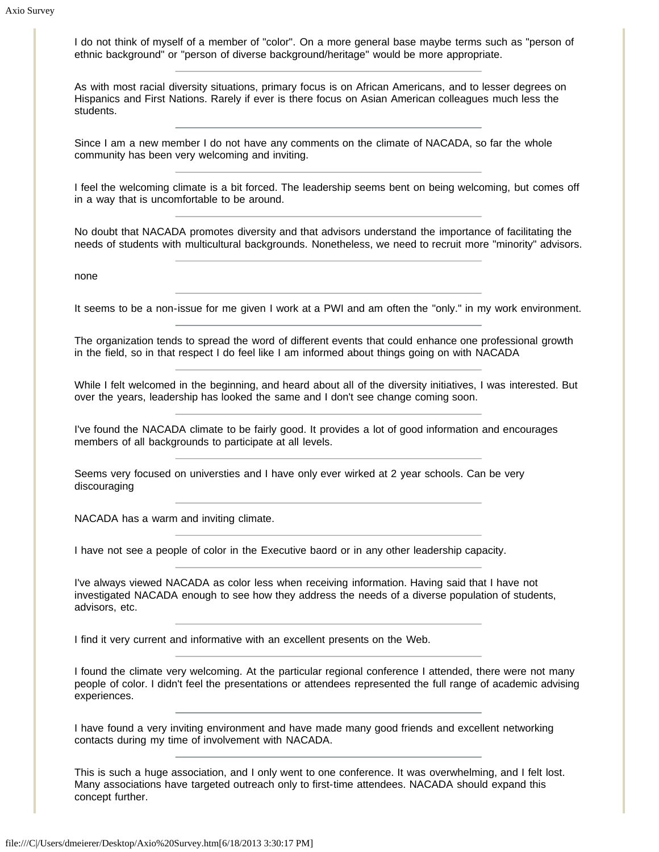I do not think of myself of a member of "color". On a more general base maybe terms such as "person of ethnic background" or "person of diverse background/heritage" would be more appropriate.

As with most racial diversity situations, primary focus is on African Americans, and to lesser degrees on Hispanics and First Nations. Rarely if ever is there focus on Asian American colleagues much less the students.

Since I am a new member I do not have any comments on the climate of NACADA, so far the whole community has been very welcoming and inviting.

I feel the welcoming climate is a bit forced. The leadership seems bent on being welcoming, but comes off in a way that is uncomfortable to be around.

No doubt that NACADA promotes diversity and that advisors understand the importance of facilitating the needs of students with multicultural backgrounds. Nonetheless, we need to recruit more "minority" advisors.

none

It seems to be a non-issue for me given I work at a PWI and am often the "only." in my work environment.

The organization tends to spread the word of different events that could enhance one professional growth in the field, so in that respect I do feel like I am informed about things going on with NACADA

While I felt welcomed in the beginning, and heard about all of the diversity initiatives, I was interested. But over the years, leadership has looked the same and I don't see change coming soon.

I've found the NACADA climate to be fairly good. It provides a lot of good information and encourages members of all backgrounds to participate at all levels.

Seems very focused on universties and I have only ever wirked at 2 year schools. Can be very discouraging

NACADA has a warm and inviting climate.

I have not see a people of color in the Executive baord or in any other leadership capacity.

I've always viewed NACADA as color less when receiving information. Having said that I have not investigated NACADA enough to see how they address the needs of a diverse population of students, advisors, etc.

I find it very current and informative with an excellent presents on the Web.

I found the climate very welcoming. At the particular regional conference I attended, there were not many people of color. I didn't feel the presentations or attendees represented the full range of academic advising experiences.

I have found a very inviting environment and have made many good friends and excellent networking contacts during my time of involvement with NACADA.

This is such a huge association, and I only went to one conference. It was overwhelming, and I felt lost. Many associations have targeted outreach only to first-time attendees. NACADA should expand this concept further.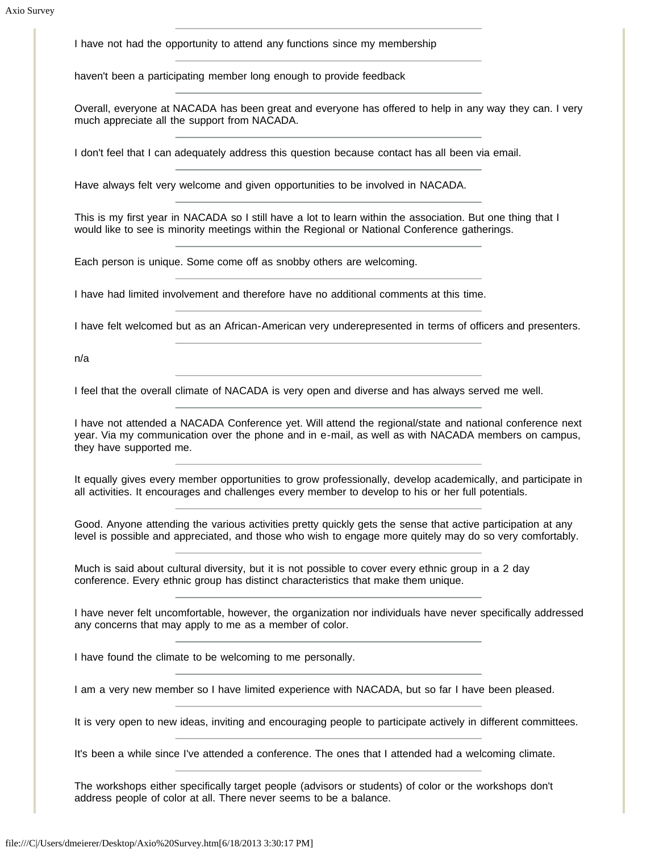I have not had the opportunity to attend any functions since my membership

haven't been a participating member long enough to provide feedback

Overall, everyone at NACADA has been great and everyone has offered to help in any way they can. I very much appreciate all the support from NACADA.

I don't feel that I can adequately address this question because contact has all been via email.

Have always felt very welcome and given opportunities to be involved in NACADA.

This is my first year in NACADA so I still have a lot to learn within the association. But one thing that I would like to see is minority meetings within the Regional or National Conference gatherings.

Each person is unique. Some come off as snobby others are welcoming.

I have had limited involvement and therefore have no additional comments at this time.

I have felt welcomed but as an African-American very underepresented in terms of officers and presenters.

n/a

I feel that the overall climate of NACADA is very open and diverse and has always served me well.

I have not attended a NACADA Conference yet. Will attend the regional/state and national conference next year. Via my communication over the phone and in e-mail, as well as with NACADA members on campus, they have supported me.

It equally gives every member opportunities to grow professionally, develop academically, and participate in all activities. It encourages and challenges every member to develop to his or her full potentials.

Good. Anyone attending the various activities pretty quickly gets the sense that active participation at any level is possible and appreciated, and those who wish to engage more quitely may do so very comfortably.

Much is said about cultural diversity, but it is not possible to cover every ethnic group in a 2 day conference. Every ethnic group has distinct characteristics that make them unique.

I have never felt uncomfortable, however, the organization nor individuals have never specifically addressed any concerns that may apply to me as a member of color.

I have found the climate to be welcoming to me personally.

I am a very new member so I have limited experience with NACADA, but so far I have been pleased.

It is very open to new ideas, inviting and encouraging people to participate actively in different committees.

It's been a while since I've attended a conference. The ones that I attended had a welcoming climate.

The workshops either specifically target people (advisors or students) of color or the workshops don't address people of color at all. There never seems to be a balance.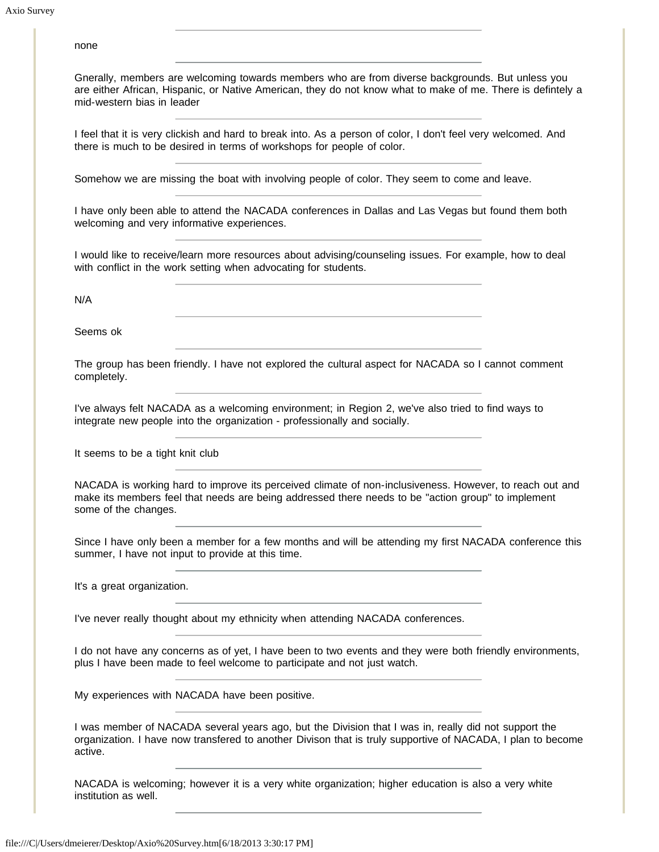none

Gnerally, members are welcoming towards members who are from diverse backgrounds. But unless you are either African, Hispanic, or Native American, they do not know what to make of me. There is defintely a mid-western bias in leader

I feel that it is very clickish and hard to break into. As a person of color, I don't feel very welcomed. And there is much to be desired in terms of workshops for people of color.

Somehow we are missing the boat with involving people of color. They seem to come and leave.

I have only been able to attend the NACADA conferences in Dallas and Las Vegas but found them both welcoming and very informative experiences.

I would like to receive/learn more resources about advising/counseling issues. For example, how to deal with conflict in the work setting when advocating for students.

N/A

Seems ok

The group has been friendly. I have not explored the cultural aspect for NACADA so I cannot comment completely.

I've always felt NACADA as a welcoming environment; in Region 2, we've also tried to find ways to integrate new people into the organization - professionally and socially.

It seems to be a tight knit club

NACADA is working hard to improve its perceived climate of non-inclusiveness. However, to reach out and make its members feel that needs are being addressed there needs to be "action group" to implement some of the changes.

Since I have only been a member for a few months and will be attending my first NACADA conference this summer, I have not input to provide at this time.

It's a great organization.

I've never really thought about my ethnicity when attending NACADA conferences.

I do not have any concerns as of yet, I have been to two events and they were both friendly environments, plus I have been made to feel welcome to participate and not just watch.

My experiences with NACADA have been positive.

I was member of NACADA several years ago, but the Division that I was in, really did not support the organization. I have now transfered to another Divison that is truly supportive of NACADA, I plan to become active.

NACADA is welcoming; however it is a very white organization; higher education is also a very white institution as well.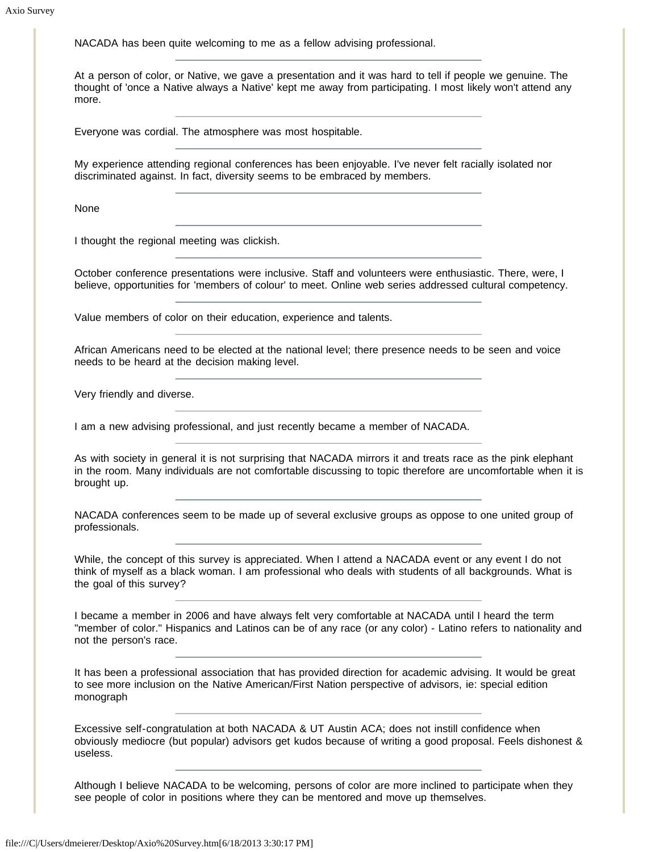NACADA has been quite welcoming to me as a fellow advising professional.

At a person of color, or Native, we gave a presentation and it was hard to tell if people we genuine. The thought of 'once a Native always a Native' kept me away from participating. I most likely won't attend any more.

Everyone was cordial. The atmosphere was most hospitable.

My experience attending regional conferences has been enjoyable. I've never felt racially isolated nor discriminated against. In fact, diversity seems to be embraced by members.

None

I thought the regional meeting was clickish.

October conference presentations were inclusive. Staff and volunteers were enthusiastic. There, were, I believe, opportunities for 'members of colour' to meet. Online web series addressed cultural competency.

Value members of color on their education, experience and talents.

African Americans need to be elected at the national level; there presence needs to be seen and voice needs to be heard at the decision making level.

Very friendly and diverse.

I am a new advising professional, and just recently became a member of NACADA.

As with society in general it is not surprising that NACADA mirrors it and treats race as the pink elephant in the room. Many individuals are not comfortable discussing to topic therefore are uncomfortable when it is brought up.

NACADA conferences seem to be made up of several exclusive groups as oppose to one united group of professionals.

While, the concept of this survey is appreciated. When I attend a NACADA event or any event I do not think of myself as a black woman. I am professional who deals with students of all backgrounds. What is the goal of this survey?

I became a member in 2006 and have always felt very comfortable at NACADA until I heard the term "member of color." Hispanics and Latinos can be of any race (or any color) - Latino refers to nationality and not the person's race.

It has been a professional association that has provided direction for academic advising. It would be great to see more inclusion on the Native American/First Nation perspective of advisors, ie: special edition monograph

Excessive self-congratulation at both NACADA & UT Austin ACA; does not instill confidence when obviously mediocre (but popular) advisors get kudos because of writing a good proposal. Feels dishonest & useless.

Although I believe NACADA to be welcoming, persons of color are more inclined to participate when they see people of color in positions where they can be mentored and move up themselves.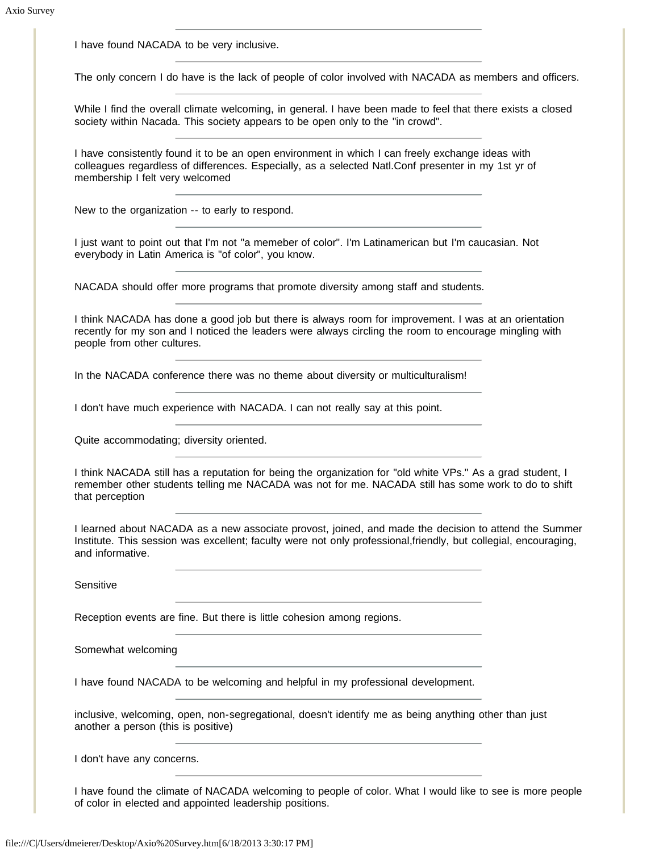I have found NACADA to be very inclusive.

The only concern I do have is the lack of people of color involved with NACADA as members and officers.

While I find the overall climate welcoming, in general. I have been made to feel that there exists a closed society within Nacada. This society appears to be open only to the "in crowd".

I have consistently found it to be an open environment in which I can freely exchange ideas with colleagues regardless of differences. Especially, as a selected Natl.Conf presenter in my 1st yr of membership I felt very welcomed

New to the organization -- to early to respond.

I just want to point out that I'm not "a memeber of color". I'm Latinamerican but I'm caucasian. Not everybody in Latin America is "of color", you know.

NACADA should offer more programs that promote diversity among staff and students.

I think NACADA has done a good job but there is always room for improvement. I was at an orientation recently for my son and I noticed the leaders were always circling the room to encourage mingling with people from other cultures.

In the NACADA conference there was no theme about diversity or multiculturalism!

I don't have much experience with NACADA. I can not really say at this point.

Quite accommodating; diversity oriented.

I think NACADA still has a reputation for being the organization for "old white VPs." As a grad student, I remember other students telling me NACADA was not for me. NACADA still has some work to do to shift that perception

I learned about NACADA as a new associate provost, joined, and made the decision to attend the Summer Institute. This session was excellent; faculty were not only professional,friendly, but collegial, encouraging, and informative.

**Sensitive** 

Reception events are fine. But there is little cohesion among regions.

Somewhat welcoming

I have found NACADA to be welcoming and helpful in my professional development.

inclusive, welcoming, open, non-segregational, doesn't identify me as being anything other than just another a person (this is positive)

I don't have any concerns.

I have found the climate of NACADA welcoming to people of color. What I would like to see is more people of color in elected and appointed leadership positions.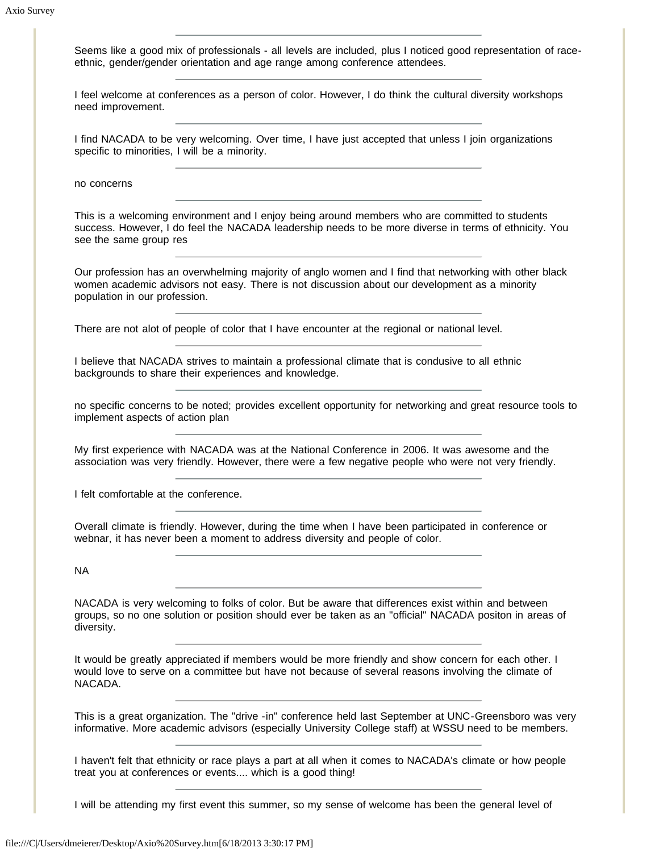Seems like a good mix of professionals - all levels are included, plus I noticed good representation of raceethnic, gender/gender orientation and age range among conference attendees.

I feel welcome at conferences as a person of color. However, I do think the cultural diversity workshops need improvement.

I find NACADA to be very welcoming. Over time, I have just accepted that unless I join organizations specific to minorities, I will be a minority.

no concerns

This is a welcoming environment and I enjoy being around members who are committed to students success. However, I do feel the NACADA leadership needs to be more diverse in terms of ethnicity. You see the same group res

Our profession has an overwhelming majority of anglo women and I find that networking with other black women academic advisors not easy. There is not discussion about our development as a minority population in our profession.

There are not alot of people of color that I have encounter at the regional or national level.

I believe that NACADA strives to maintain a professional climate that is condusive to all ethnic backgrounds to share their experiences and knowledge.

no specific concerns to be noted; provides excellent opportunity for networking and great resource tools to implement aspects of action plan

My first experience with NACADA was at the National Conference in 2006. It was awesome and the association was very friendly. However, there were a few negative people who were not very friendly.

I felt comfortable at the conference.

Overall climate is friendly. However, during the time when I have been participated in conference or webnar, it has never been a moment to address diversity and people of color.

NA

NACADA is very welcoming to folks of color. But be aware that differences exist within and between groups, so no one solution or position should ever be taken as an "official" NACADA positon in areas of diversity.

It would be greatly appreciated if members would be more friendly and show concern for each other. I would love to serve on a committee but have not because of several reasons involving the climate of NACADA.

This is a great organization. The "drive -in" conference held last September at UNC-Greensboro was very informative. More academic advisors (especially University College staff) at WSSU need to be members.

I haven't felt that ethnicity or race plays a part at all when it comes to NACADA's climate or how people treat you at conferences or events.... which is a good thing!

I will be attending my first event this summer, so my sense of welcome has been the general level of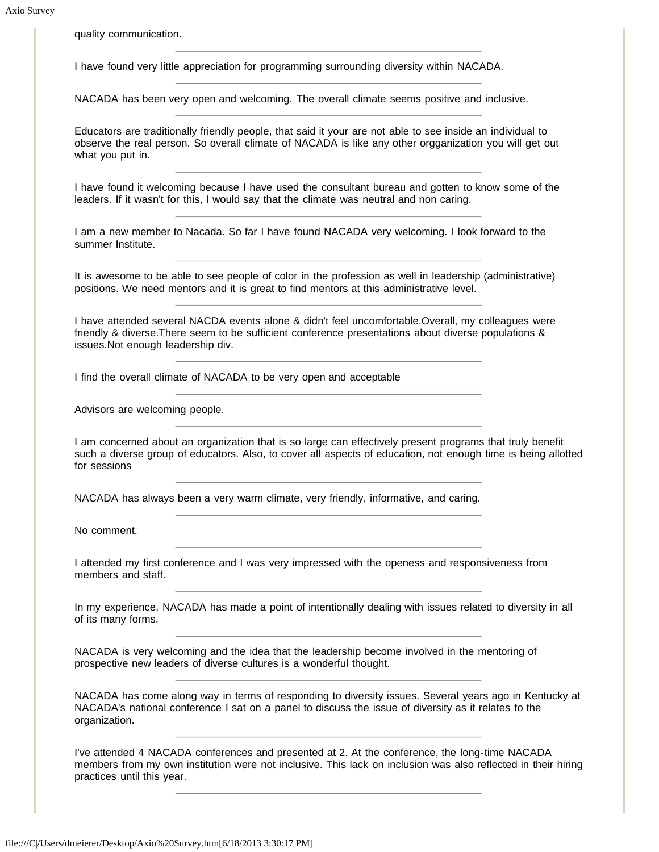quality communication.

I have found very little appreciation for programming surrounding diversity within NACADA.

NACADA has been very open and welcoming. The overall climate seems positive and inclusive.

Educators are traditionally friendly people, that said it your are not able to see inside an individual to observe the real person. So overall climate of NACADA is like any other orgganization you will get out what you put in.

I have found it welcoming because I have used the consultant bureau and gotten to know some of the leaders. If it wasn't for this, I would say that the climate was neutral and non caring.

I am a new member to Nacada. So far I have found NACADA very welcoming. I look forward to the summer Institute.

It is awesome to be able to see people of color in the profession as well in leadership (administrative) positions. We need mentors and it is great to find mentors at this administrative level.

I have attended several NACDA events alone & didn't feel uncomfortable.Overall, my colleagues were friendly & diverse.There seem to be sufficient conference presentations about diverse populations & issues.Not enough leadership div.

I find the overall climate of NACADA to be very open and acceptable

Advisors are welcoming people.

I am concerned about an organization that is so large can effectively present programs that truly benefit such a diverse group of educators. Also, to cover all aspects of education, not enough time is being allotted for sessions

NACADA has always been a very warm climate, very friendly, informative, and caring.

No comment.

I attended my first conference and I was very impressed with the openess and responsiveness from members and staff.

In my experience, NACADA has made a point of intentionally dealing with issues related to diversity in all of its many forms.

NACADA is very welcoming and the idea that the leadership become involved in the mentoring of prospective new leaders of diverse cultures is a wonderful thought.

NACADA has come along way in terms of responding to diversity issues. Several years ago in Kentucky at NACADA's national conference I sat on a panel to discuss the issue of diversity as it relates to the organization.

I've attended 4 NACADA conferences and presented at 2. At the conference, the long-time NACADA members from my own institution were not inclusive. This lack on inclusion was also reflected in their hiring practices until this year.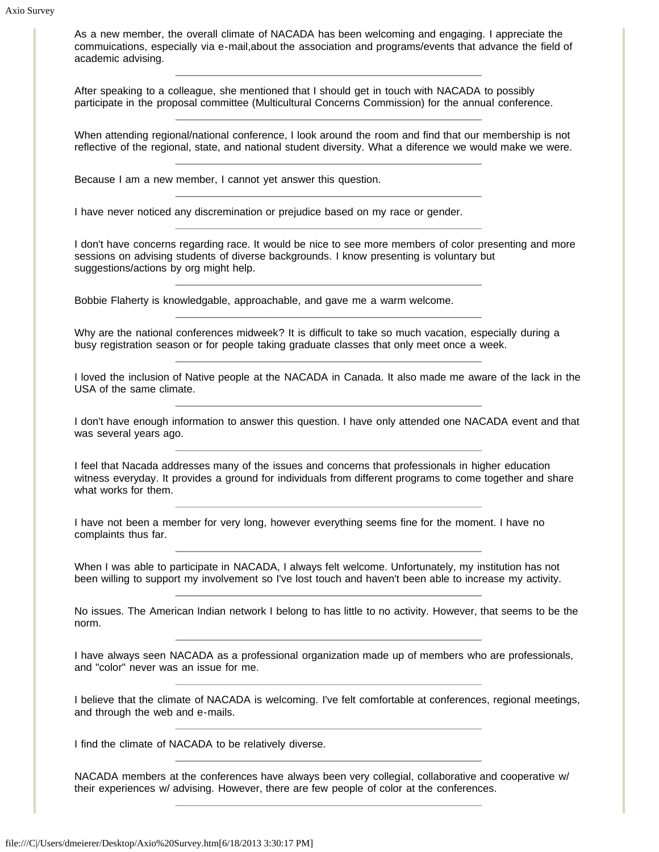As a new member, the overall climate of NACADA has been welcoming and engaging. I appreciate the commuications, especially via e-mail,about the association and programs/events that advance the field of academic advising.

After speaking to a colleague, she mentioned that I should get in touch with NACADA to possibly participate in the proposal committee (Multicultural Concerns Commission) for the annual conference.

When attending regional/national conference, I look around the room and find that our membership is not reflective of the regional, state, and national student diversity. What a diference we would make we were.

Because I am a new member, I cannot yet answer this question.

I have never noticed any discremination or prejudice based on my race or gender.

I don't have concerns regarding race. It would be nice to see more members of color presenting and more sessions on advising students of diverse backgrounds. I know presenting is voluntary but suggestions/actions by org might help.

Bobbie Flaherty is knowledgable, approachable, and gave me a warm welcome.

Why are the national conferences midweek? It is difficult to take so much vacation, especially during a busy registration season or for people taking graduate classes that only meet once a week.

I loved the inclusion of Native people at the NACADA in Canada. It also made me aware of the lack in the USA of the same climate.

I don't have enough information to answer this question. I have only attended one NACADA event and that was several years ago.

I feel that Nacada addresses many of the issues and concerns that professionals in higher education witness everyday. It provides a ground for individuals from different programs to come together and share what works for them.

I have not been a member for very long, however everything seems fine for the moment. I have no complaints thus far.

When I was able to participate in NACADA, I always felt welcome. Unfortunately, my institution has not been willing to support my involvement so I've lost touch and haven't been able to increase my activity.

No issues. The American Indian network I belong to has little to no activity. However, that seems to be the norm.

I have always seen NACADA as a professional organization made up of members who are professionals, and "color" never was an issue for me.

I believe that the climate of NACADA is welcoming. I've felt comfortable at conferences, regional meetings, and through the web and e-mails.

I find the climate of NACADA to be relatively diverse.

NACADA members at the conferences have always been very collegial, collaborative and cooperative w/ their experiences w/ advising. However, there are few people of color at the conferences.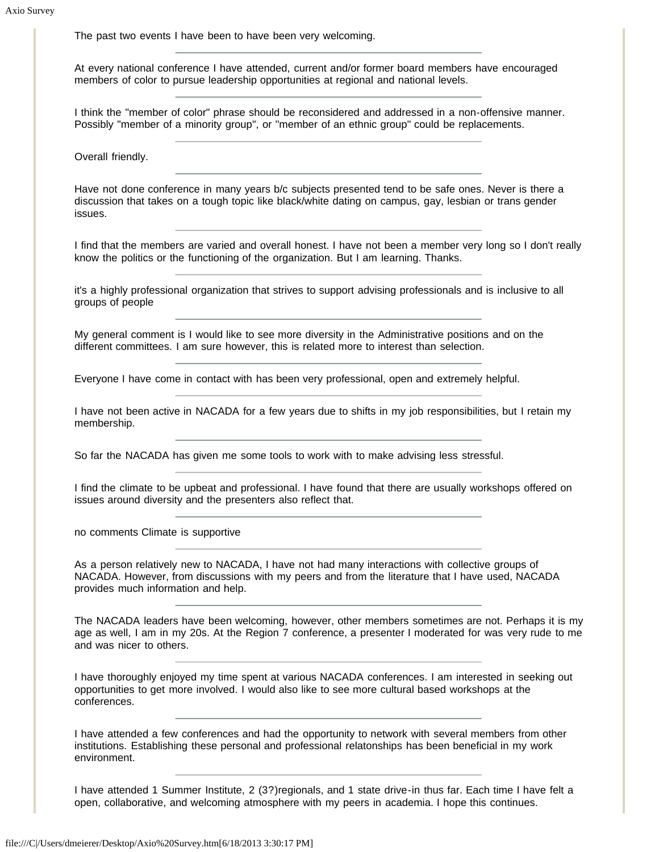The past two events I have been to have been very welcoming.

At every national conference I have attended, current and/or former board members have encouraged members of color to pursue leadership opportunities at regional and national levels.

I think the "member of color" phrase should be reconsidered and addressed in a non-offensive manner. Possibly "member of a minority group", or "member of an ethnic group" could be replacements.

Overall friendly.

Have not done conference in many years b/c subjects presented tend to be safe ones. Never is there a discussion that takes on a tough topic like black/white dating on campus, gay, lesbian or trans gender issues.

I find that the members are varied and overall honest. I have not been a member very long so I don't really know the politics or the functioning of the organization. But I am learning. Thanks.

it's a highly professional organization that strives to support advising professionals and is inclusive to all groups of people

My general comment is I would like to see more diversity in the Administrative positions and on the different committees. I am sure however, this is related more to interest than selection.

Everyone I have come in contact with has been very professional, open and extremely helpful.

I have not been active in NACADA for a few years due to shifts in my job responsibilities, but I retain my membership.

So far the NACADA has given me some tools to work with to make advising less stressful.

I find the climate to be upbeat and professional. I have found that there are usually workshops offered on issues around diversity and the presenters also reflect that.

no comments Climate is supportive

As a person relatively new to NACADA, I have not had many interactions with collective groups of NACADA. However, from discussions with my peers and from the literature that I have used, NACADA provides much information and help.

The NACADA leaders have been welcoming, however, other members sometimes are not. Perhaps it is my age as well, I am in my 20s. At the Region 7 conference, a presenter I moderated for was very rude to me and was nicer to others.

I have thoroughly enjoyed my time spent at various NACADA conferences. I am interested in seeking out opportunities to get more involved. I would also like to see more cultural based workshops at the conferences.

I have attended a few conferences and had the opportunity to network with several members from other institutions. Establishing these personal and professional relatonships has been beneficial in my work environment.

I have attended 1 Summer Institute, 2 (3?)regionals, and 1 state drive-in thus far. Each time I have felt a open, collaborative, and welcoming atmosphere with my peers in academia. I hope this continues.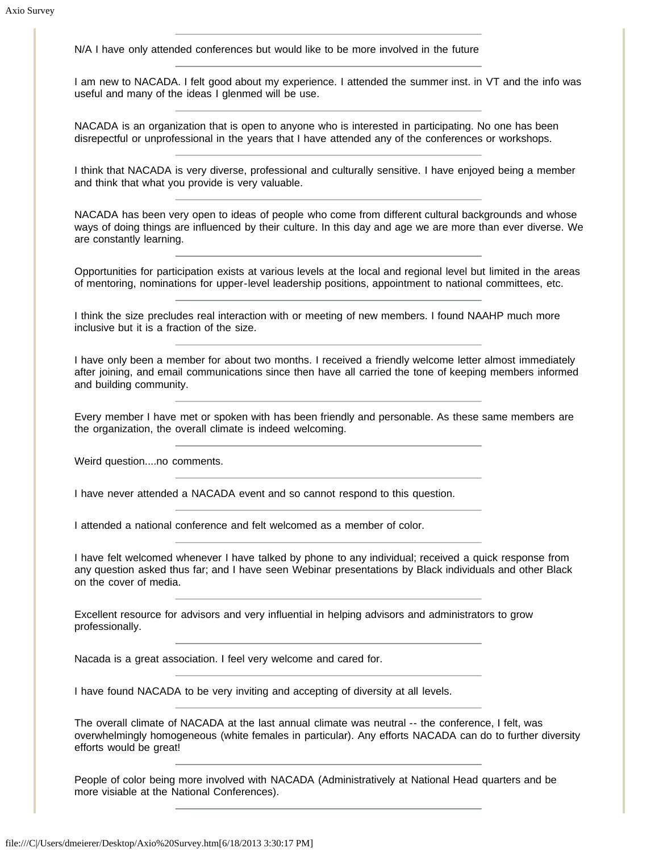N/A I have only attended conferences but would like to be more involved in the future

I am new to NACADA. I felt good about my experience. I attended the summer inst. in VT and the info was useful and many of the ideas I glenmed will be use.

NACADA is an organization that is open to anyone who is interested in participating. No one has been disrepectful or unprofessional in the years that I have attended any of the conferences or workshops.

I think that NACADA is very diverse, professional and culturally sensitive. I have enjoyed being a member and think that what you provide is very valuable.

NACADA has been very open to ideas of people who come from different cultural backgrounds and whose ways of doing things are influenced by their culture. In this day and age we are more than ever diverse. We are constantly learning.

Opportunities for participation exists at various levels at the local and regional level but limited in the areas of mentoring, nominations for upper-level leadership positions, appointment to national committees, etc.

I think the size precludes real interaction with or meeting of new members. I found NAAHP much more inclusive but it is a fraction of the size.

I have only been a member for about two months. I received a friendly welcome letter almost immediately after joining, and email communications since then have all carried the tone of keeping members informed and building community.

Every member I have met or spoken with has been friendly and personable. As these same members are the organization, the overall climate is indeed welcoming.

Weird question....no comments.

I have never attended a NACADA event and so cannot respond to this question.

I attended a national conference and felt welcomed as a member of color.

I have felt welcomed whenever I have talked by phone to any individual; received a quick response from any question asked thus far; and I have seen Webinar presentations by Black individuals and other Black on the cover of media.

Excellent resource for advisors and very influential in helping advisors and administrators to grow professionally.

Nacada is a great association. I feel very welcome and cared for.

I have found NACADA to be very inviting and accepting of diversity at all levels.

The overall climate of NACADA at the last annual climate was neutral -- the conference, I felt, was overwhelmingly homogeneous (white females in particular). Any efforts NACADA can do to further diversity efforts would be great!

People of color being more involved with NACADA (Administratively at National Head quarters and be more visiable at the National Conferences).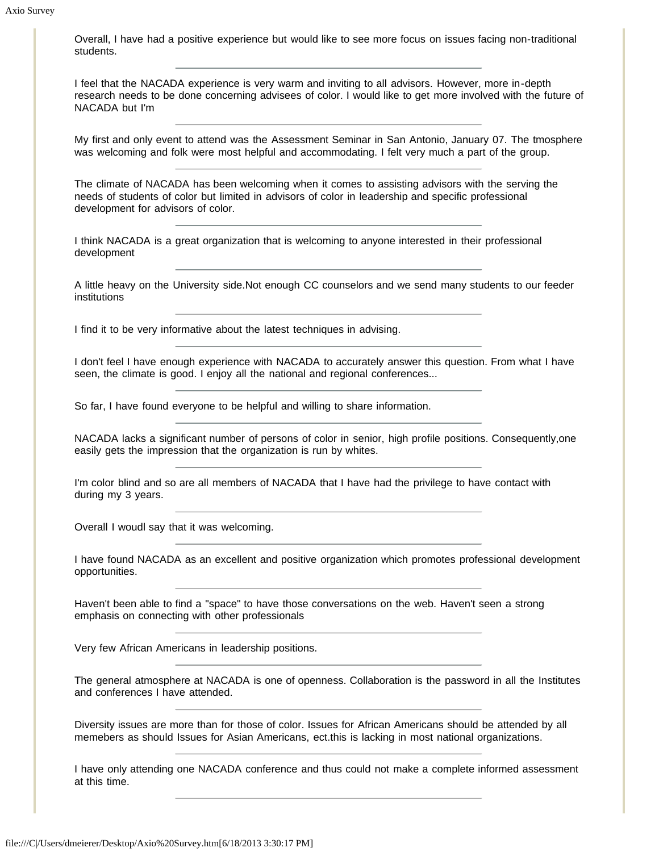Overall, I have had a positive experience but would like to see more focus on issues facing non-traditional students.

I feel that the NACADA experience is very warm and inviting to all advisors. However, more in-depth research needs to be done concerning advisees of color. I would like to get more involved with the future of NACADA but I'm

My first and only event to attend was the Assessment Seminar in San Antonio, January 07. The tmosphere was welcoming and folk were most helpful and accommodating. I felt very much a part of the group.

The climate of NACADA has been welcoming when it comes to assisting advisors with the serving the needs of students of color but limited in advisors of color in leadership and specific professional development for advisors of color.

I think NACADA is a great organization that is welcoming to anyone interested in their professional development

A little heavy on the University side.Not enough CC counselors and we send many students to our feeder institutions

I find it to be very informative about the latest techniques in advising.

I don't feel I have enough experience with NACADA to accurately answer this question. From what I have seen, the climate is good. I enjoy all the national and regional conferences...

So far, I have found everyone to be helpful and willing to share information.

NACADA lacks a significant number of persons of color in senior, high profile positions. Consequently,one easily gets the impression that the organization is run by whites.

I'm color blind and so are all members of NACADA that I have had the privilege to have contact with during my 3 years.

Overall I woudl say that it was welcoming.

I have found NACADA as an excellent and positive organization which promotes professional development opportunities.

Haven't been able to find a "space" to have those conversations on the web. Haven't seen a strong emphasis on connecting with other professionals

Very few African Americans in leadership positions.

The general atmosphere at NACADA is one of openness. Collaboration is the password in all the Institutes and conferences I have attended.

Diversity issues are more than for those of color. Issues for African Americans should be attended by all memebers as should Issues for Asian Americans, ect.this is lacking in most national organizations.

I have only attending one NACADA conference and thus could not make a complete informed assessment at this time.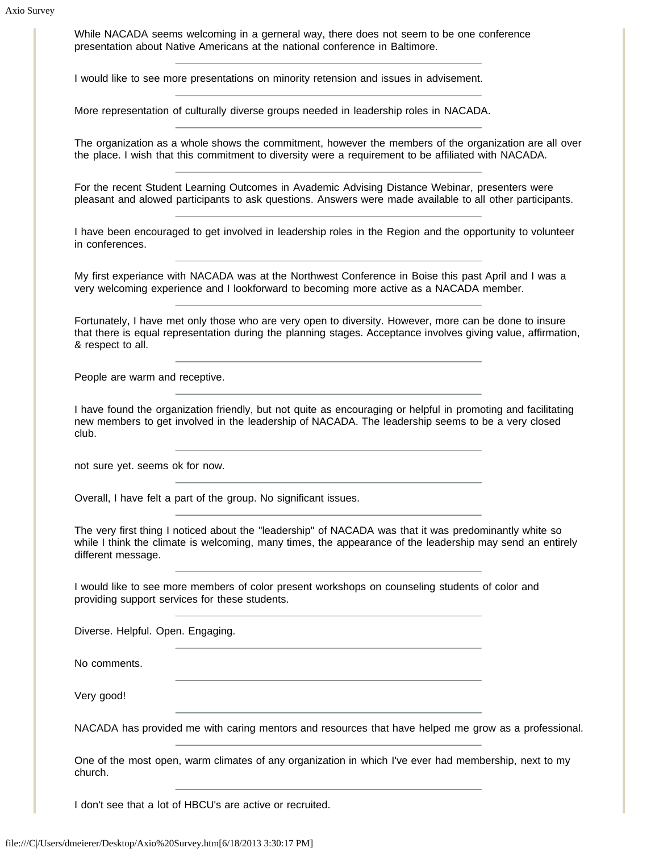While NACADA seems welcoming in a gerneral way, there does not seem to be one conference presentation about Native Americans at the national conference in Baltimore.

I would like to see more presentations on minority retension and issues in advisement.

More representation of culturally diverse groups needed in leadership roles in NACADA.

The organization as a whole shows the commitment, however the members of the organization are all over the place. I wish that this commitment to diversity were a requirement to be affiliated with NACADA.

For the recent Student Learning Outcomes in Avademic Advising Distance Webinar, presenters were pleasant and alowed participants to ask questions. Answers were made available to all other participants.

I have been encouraged to get involved in leadership roles in the Region and the opportunity to volunteer in conferences.

My first experiance with NACADA was at the Northwest Conference in Boise this past April and I was a very welcoming experience and I lookforward to becoming more active as a NACADA member.

Fortunately, I have met only those who are very open to diversity. However, more can be done to insure that there is equal representation during the planning stages. Acceptance involves giving value, affirmation, & respect to all.

People are warm and receptive.

I have found the organization friendly, but not quite as encouraging or helpful in promoting and facilitating new members to get involved in the leadership of NACADA. The leadership seems to be a very closed club.

not sure yet. seems ok for now.

Overall, I have felt a part of the group. No significant issues.

The very first thing I noticed about the "leadership" of NACADA was that it was predominantly white so while I think the climate is welcoming, many times, the appearance of the leadership may send an entirely different message.

I would like to see more members of color present workshops on counseling students of color and providing support services for these students.

Diverse. Helpful. Open. Engaging.

No comments.

Very good!

NACADA has provided me with caring mentors and resources that have helped me grow as a professional.

One of the most open, warm climates of any organization in which I've ever had membership, next to my church.

I don't see that a lot of HBCU's are active or recruited.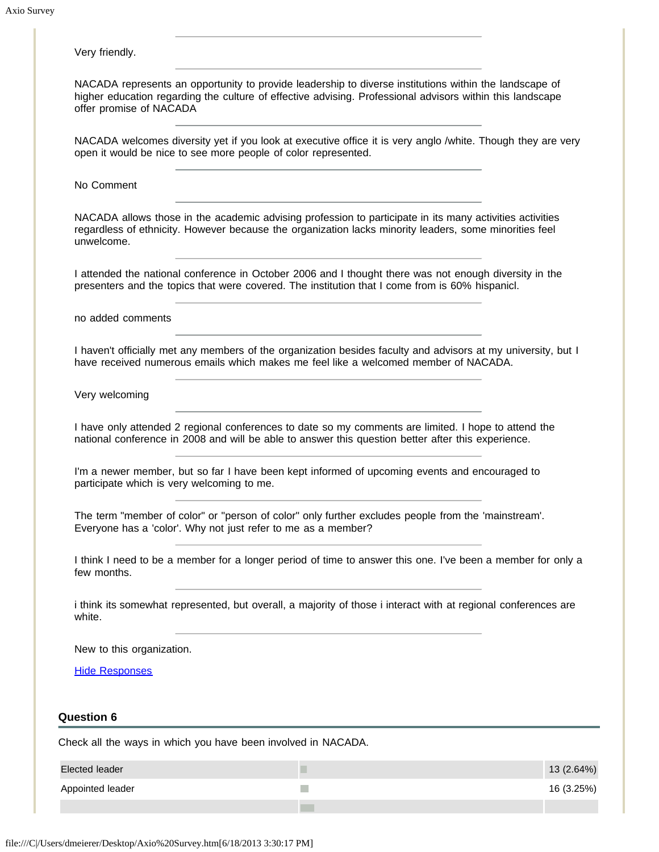| Very friendly.                                                                                                                                                                                                                                 |            |
|------------------------------------------------------------------------------------------------------------------------------------------------------------------------------------------------------------------------------------------------|------------|
| NACADA represents an opportunity to provide leadership to diverse institutions within the landscape of<br>higher education regarding the culture of effective advising. Professional advisors within this landscape<br>offer promise of NACADA |            |
| NACADA welcomes diversity yet if you look at executive office it is very anglo /white. Though they are very<br>open it would be nice to see more people of color represented.                                                                  |            |
| No Comment                                                                                                                                                                                                                                     |            |
| NACADA allows those in the academic advising profession to participate in its many activities activities<br>regardless of ethnicity. However because the organization lacks minority leaders, some minorities feel<br>unwelcome.               |            |
| I attended the national conference in October 2006 and I thought there was not enough diversity in the<br>presenters and the topics that were covered. The institution that I come from is 60% hispanicl.                                      |            |
| no added comments                                                                                                                                                                                                                              |            |
| I haven't officially met any members of the organization besides faculty and advisors at my university, but I<br>have received numerous emails which makes me feel like a welcomed member of NACADA.                                           |            |
| Very welcoming                                                                                                                                                                                                                                 |            |
| I have only attended 2 regional conferences to date so my comments are limited. I hope to attend the<br>national conference in 2008 and will be able to answer this question better after this experience.                                     |            |
| I'm a newer member, but so far I have been kept informed of upcoming events and encouraged to<br>participate which is very welcoming to me.                                                                                                    |            |
| The term "member of color" or "person of color" only further excludes people from the 'mainstream'.<br>Everyone has a 'color'. Why not just refer to me as a member?                                                                           |            |
| I think I need to be a member for a longer period of time to answer this one. I've been a member for only a<br>few months.                                                                                                                     |            |
| i think its somewhat represented, but overall, a majority of those i interact with at regional conferences are<br>white.                                                                                                                       |            |
| New to this organization.                                                                                                                                                                                                                      |            |
| <b>Hide Responses</b>                                                                                                                                                                                                                          |            |
| <b>Question 6</b>                                                                                                                                                                                                                              |            |
| Check all the ways in which you have been involved in NACADA.                                                                                                                                                                                  |            |
| <b>Elected leader</b><br>ш                                                                                                                                                                                                                     | 13 (2.64%) |
| Appointed leader                                                                                                                                                                                                                               | 16 (3.25%) |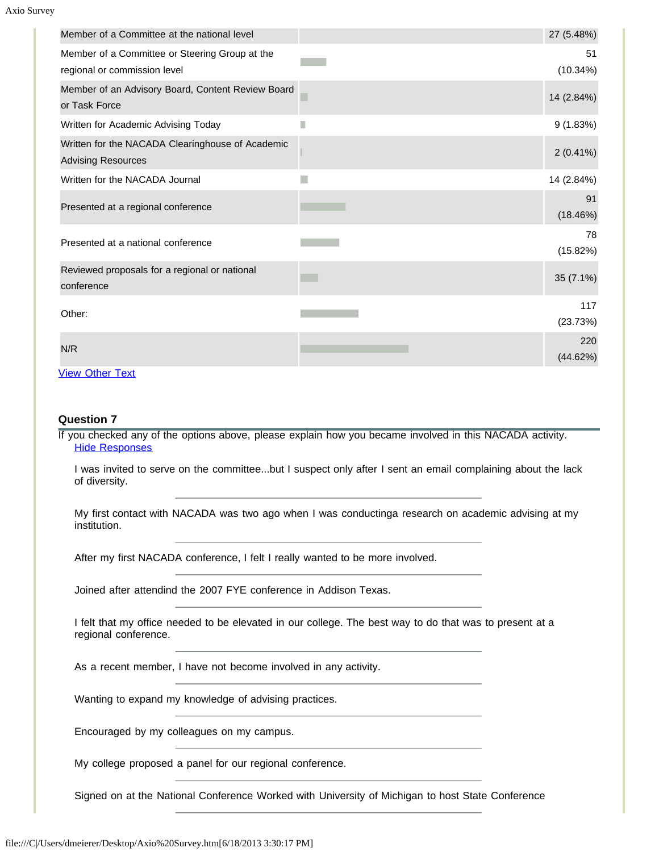| Member of a Committee at the national level                                    |   | 27 (5.48%)      |
|--------------------------------------------------------------------------------|---|-----------------|
| Member of a Committee or Steering Group at the<br>regional or commission level |   | 51<br>(10.34%)  |
| Member of an Advisory Board, Content Review Board<br>or Task Force             |   | 14 (2.84%)      |
| Written for Academic Advising Today                                            | Г | 9(1.83%)        |
| Written for the NACADA Clearinghouse of Academic<br><b>Advising Resources</b>  |   | $2(0.41\%)$     |
| Written for the NACADA Journal                                                 |   | 14 (2.84%)      |
| Presented at a regional conference                                             |   | 91<br>(18.46%)  |
| Presented at a national conference                                             |   | 78<br>(15.82%)  |
| Reviewed proposals for a regional or national<br>conference                    |   | 35 (7.1%)       |
| Other:                                                                         |   | 117<br>(23.73%) |
| N/R                                                                            |   | 220<br>(44.62%) |
| <b>View Other Text</b>                                                         |   |                 |

### **Question 7**

If you checked any of the options above, please explain how you became involved in this NACADA activity. [Hide Responses](javascript:showHideResponses(323999);)

I was invited to serve on the committee...but I suspect only after I sent an email complaining about the lack of diversity.

My first contact with NACADA was two ago when I was conductinga research on academic advising at my institution.

After my first NACADA conference, I felt I really wanted to be more involved.

Joined after attendind the 2007 FYE conference in Addison Texas.

I felt that my office needed to be elevated in our college. The best way to do that was to present at a regional conference.

As a recent member, I have not become involved in any activity.

Wanting to expand my knowledge of advising practices.

Encouraged by my colleagues on my campus.

My college proposed a panel for our regional conference.

Signed on at the National Conference Worked with University of Michigan to host State Conference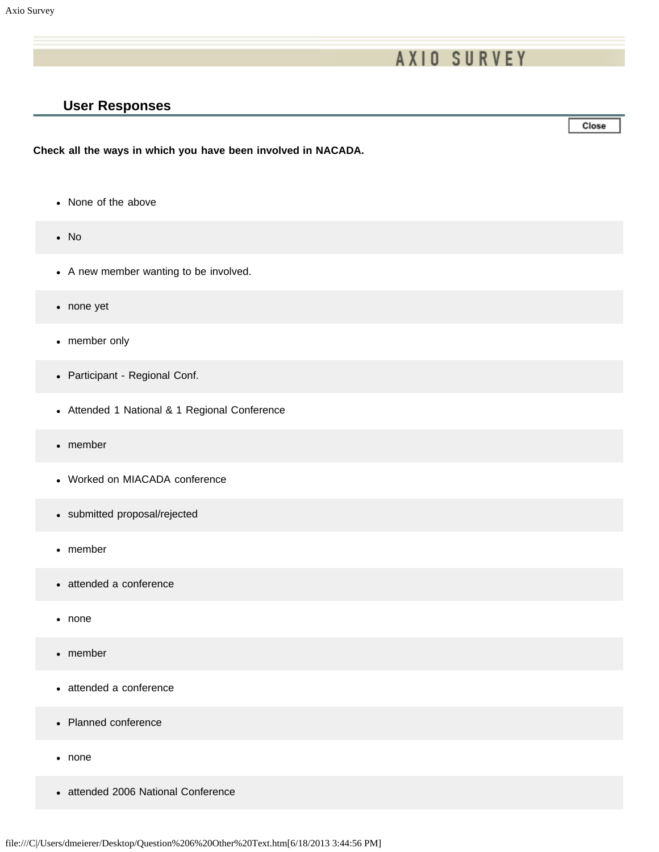# **AXIO SURVEY**

## **User Responses**

Close

**Check all the ways in which you have been involved in NACADA.**

- None of the above
- No
- A new member wanting to be involved.
- none yet
- member only
- Participant Regional Conf.
- Attended 1 National & 1 Regional Conference
- member
- Worked on MIACADA conference
- submitted proposal/rejected
- member
- attended a conference
- none
- member
- attended a conference
- Planned conference
- none
- attended 2006 National Conference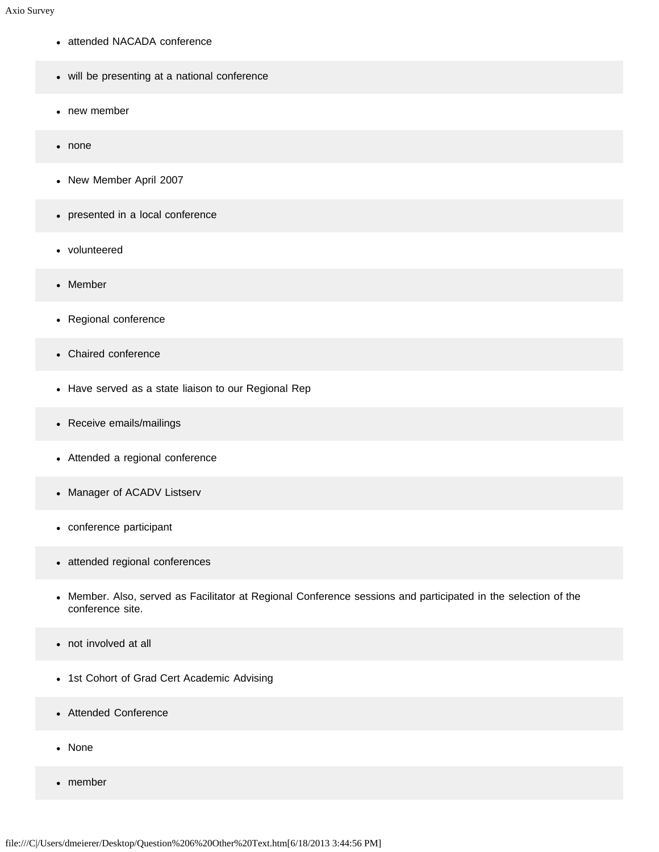- attended NACADA conference
- will be presenting at a national conference
- new member  $\bullet$
- none
- New Member April 2007
- presented in a local conference
- volunteered  $\bullet$
- Member  $\bullet$
- Regional conference
- Chaired conference
- Have served as a state liaison to our Regional Rep
- Receive emails/mailings
- Attended a regional conference
- Manager of ACADV Listserv
- conference participant
- attended regional conferences
- Member. Also, served as Facilitator at Regional Conference sessions and participated in the selection of the  $\bullet$ conference site.
- not involved at all
- 1st Cohort of Grad Cert Academic Advising
- Attended Conference
- None
- member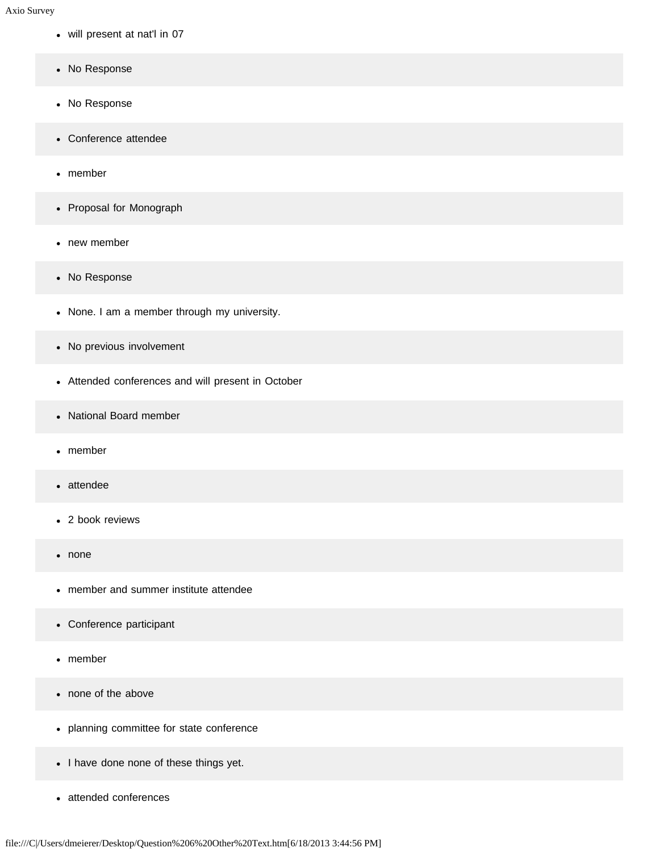- will present at nat'l in 07
- No Response
- No Response
- Conference attendee
- member
- Proposal for Monograph
- new member
- No Response
- None. I am a member through my university.
- No previous involvement
- Attended conferences and will present in October
- National Board member
- member
- attendee
- 2 book reviews
- none
- member and summer institute attendee  $\bullet$
- Conference participant
- member  $\bullet$
- none of the above
- planning committee for state conference
- I have done none of these things yet.
- attended conferences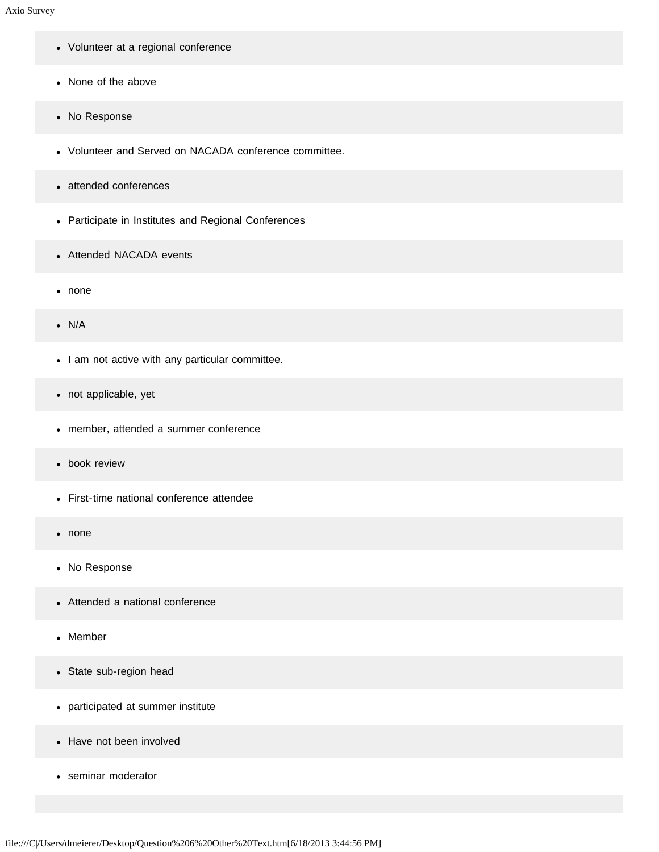- Volunteer at a regional conference
- None of the above
- No Response
- Volunteer and Served on NACADA conference committee.
- attended conferences
- Participate in Institutes and Regional Conferences
- Attended NACADA events
- none
- N/A
- I am not active with any particular committee.
- not applicable, yet
- member, attended a summer conference
- book review
- First-time national conference attendee
- none
- No Response
- Attended a national conference
- Member
- State sub-region head
- participated at summer institute
- Have not been involved
- seminar moderator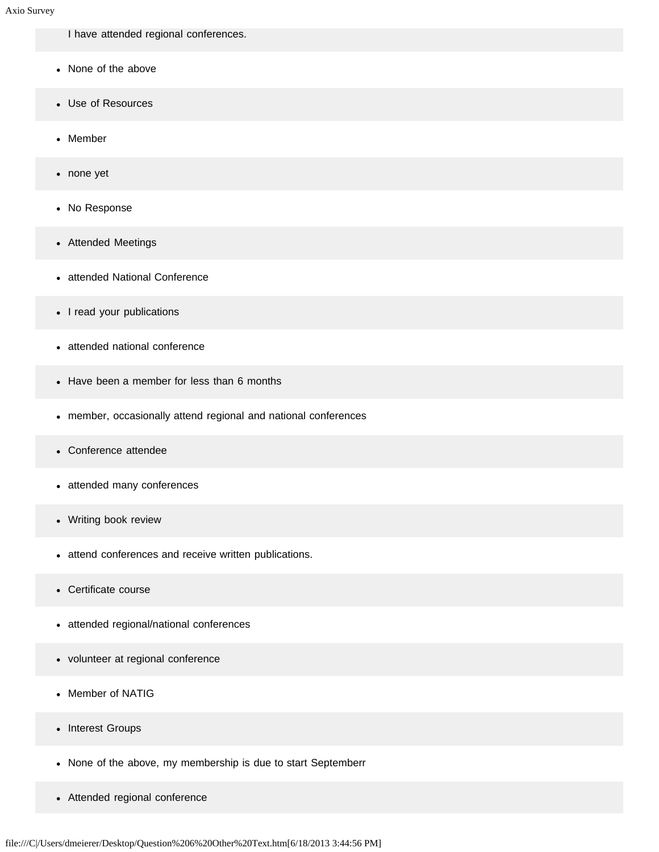I have attended regional conferences.

- None of the above
- Use of Resources
- Member
- none yet
- No Response
- Attended Meetings
- attended National Conference
- I read your publications
- attended national conference
- Have been a member for less than 6 months
- member, occasionally attend regional and national conferences
- Conference attendee  $\bullet$
- attended many conferences
- Writing book review
- attend conferences and receive written publications.
- Certificate course  $\bullet$
- attended regional/national conferences
- volunteer at regional conference
- Member of NATIG  $\bullet$
- Interest Groups
- None of the above, my membership is due to start Septemberr
- Attended regional conference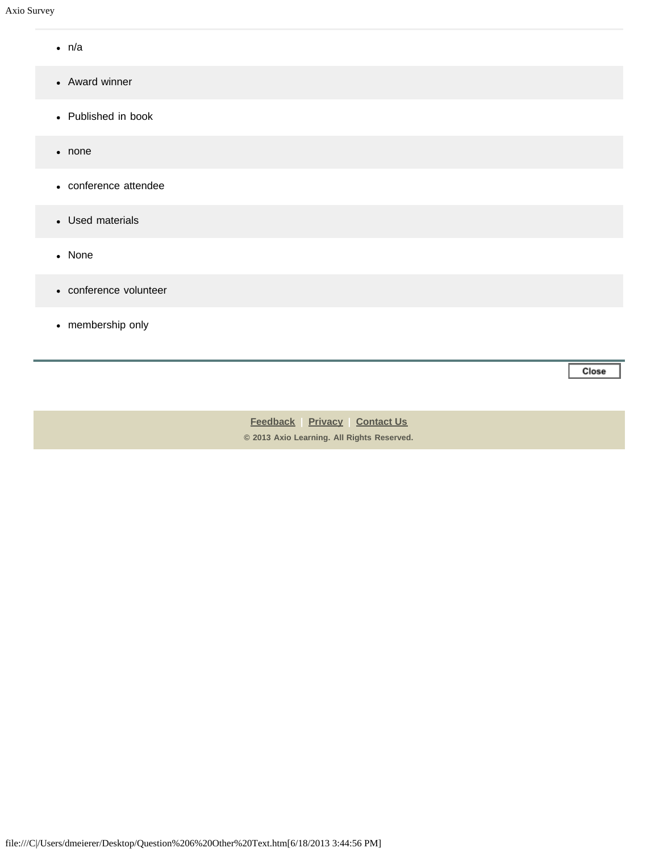- n/a
- Award winner
- Published in book
- none
- conference attendee
- Used materials
- None
- conference volunteer
- membership only

Close

**[Feedback](https://online.ksu.edu/Survey/public/feedback.jsp) | [Privacy](https://online.ksu.edu/Survey/public/privacy.jsp) | [Contact Us](https://online.ksu.edu/Survey/public/plain_about_us.jsp) © 2013 Axio Learning. All Rights Reserved.**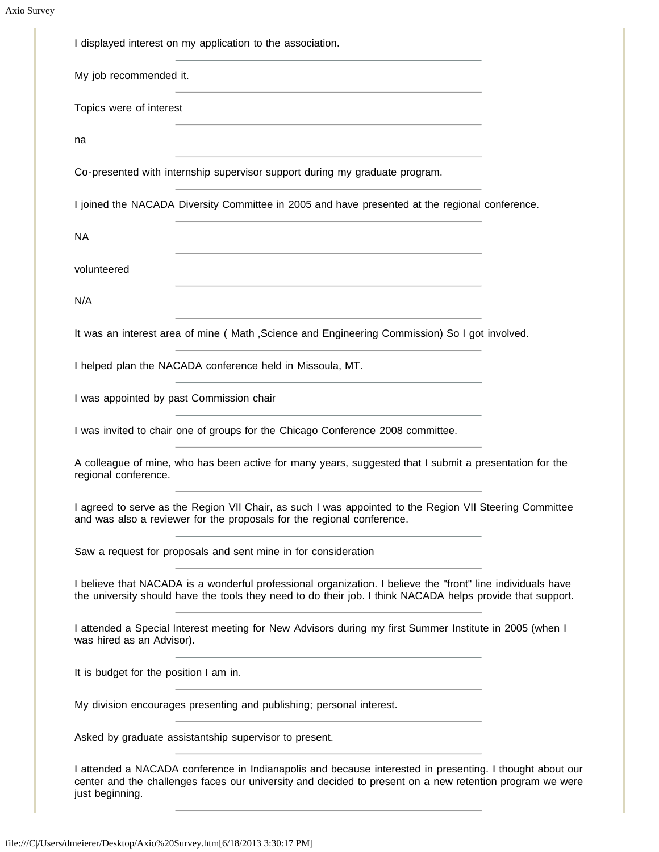| My job recommended it.                                                                                                                                                                                                                                   |  |
|----------------------------------------------------------------------------------------------------------------------------------------------------------------------------------------------------------------------------------------------------------|--|
| the control of the control of the control of the control of the control of the control of the control of the control of the control of the control of the control of the control of the control of the control of the control<br>Topics were of interest |  |
| <u> 1989 - Johann Stein, marwolaethau a bhann an t-Amhainn an t-Amhainn an t-Amhainn an t-Amhainn an t-Amhainn a</u><br>na                                                                                                                               |  |
| Co-presented with internship supervisor support during my graduate program.                                                                                                                                                                              |  |
| I joined the NACADA Diversity Committee in 2005 and have presented at the regional conference.                                                                                                                                                           |  |
| <b>NA</b>                                                                                                                                                                                                                                                |  |
| <u> 1980 - Johann Barbara, martxa alemaniar argumento este alemaniar alemaniar alemaniar alemaniar alemaniar al</u><br>volunteered                                                                                                                       |  |
| N/A<br><u> 1989 - Johann Stein, mars an deus an deus Amerikaanse komme van de Fryske komme</u>                                                                                                                                                           |  |
| It was an interest area of mine (Math , Science and Engineering Commission) So I got involved.                                                                                                                                                           |  |
| I helped plan the NACADA conference held in Missoula, MT.                                                                                                                                                                                                |  |
| I was appointed by past Commission chair                                                                                                                                                                                                                 |  |
| I was invited to chair one of groups for the Chicago Conference 2008 committee.                                                                                                                                                                          |  |
| A colleague of mine, who has been active for many years, suggested that I submit a presentation for the<br>regional conference.                                                                                                                          |  |
| I agreed to serve as the Region VII Chair, as such I was appointed to the Region VII Steering Committee<br>and was also a reviewer for the proposals for the regional conference.                                                                        |  |
| Saw a request for proposals and sent mine in for consideration                                                                                                                                                                                           |  |
| I believe that NACADA is a wonderful professional organization. I believe the "front" line individuals have<br>the university should have the tools they need to do their job. I think NACADA helps provide that support.                                |  |
| I attended a Special Interest meeting for New Advisors during my first Summer Institute in 2005 (when I<br>was hired as an Advisor).                                                                                                                     |  |
| It is budget for the position I am in.                                                                                                                                                                                                                   |  |
| My division encourages presenting and publishing; personal interest.                                                                                                                                                                                     |  |
| Asked by graduate assistantship supervisor to present.                                                                                                                                                                                                   |  |
| I attended a NACADA conference in Indianapolis and because interested in presenting. I thought about our<br>center and the challenges faces our university and decided to present on a new retention program we were<br>just beginning.                  |  |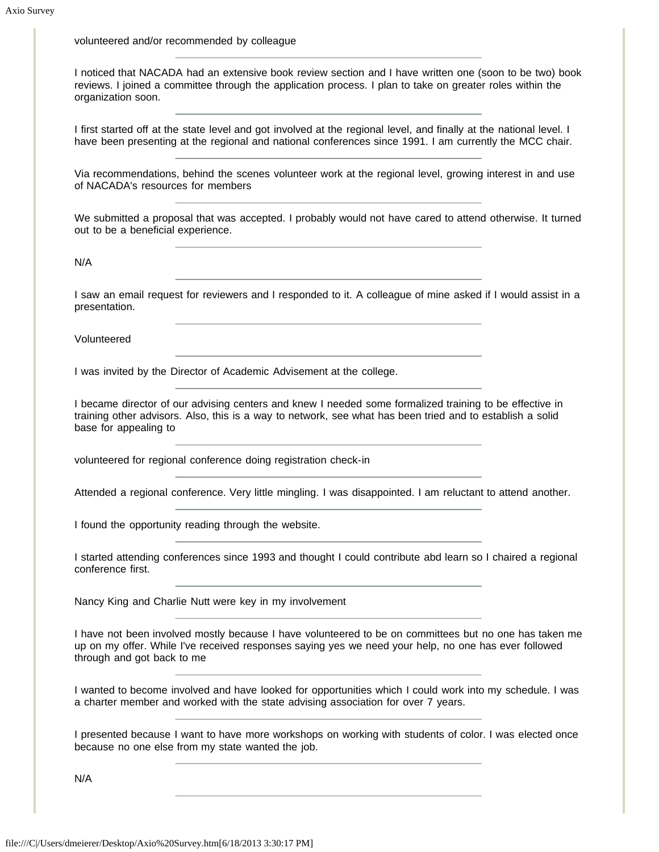volunteered and/or recommended by colleague

I noticed that NACADA had an extensive book review section and I have written one (soon to be two) book reviews. I joined a committee through the application process. I plan to take on greater roles within the organization soon.

I first started off at the state level and got involved at the regional level, and finally at the national level. I have been presenting at the regional and national conferences since 1991. I am currently the MCC chair.

Via recommendations, behind the scenes volunteer work at the regional level, growing interest in and use of NACADA's resources for members

We submitted a proposal that was accepted. I probably would not have cared to attend otherwise. It turned out to be a beneficial experience.

N/A

I saw an email request for reviewers and I responded to it. A colleague of mine asked if I would assist in a presentation.

Volunteered

I was invited by the Director of Academic Advisement at the college.

I became director of our advising centers and knew I needed some formalized training to be effective in training other advisors. Also, this is a way to network, see what has been tried and to establish a solid base for appealing to

volunteered for regional conference doing registration check-in

Attended a regional conference. Very little mingling. I was disappointed. I am reluctant to attend another.

I found the opportunity reading through the website.

I started attending conferences since 1993 and thought I could contribute abd learn so I chaired a regional conference first.

Nancy King and Charlie Nutt were key in my involvement

I have not been involved mostly because I have volunteered to be on committees but no one has taken me up on my offer. While I've received responses saying yes we need your help, no one has ever followed through and got back to me

I wanted to become involved and have looked for opportunities which I could work into my schedule. I was a charter member and worked with the state advising association for over 7 years.

I presented because I want to have more workshops on working with students of color. I was elected once because no one else from my state wanted the job.

N/A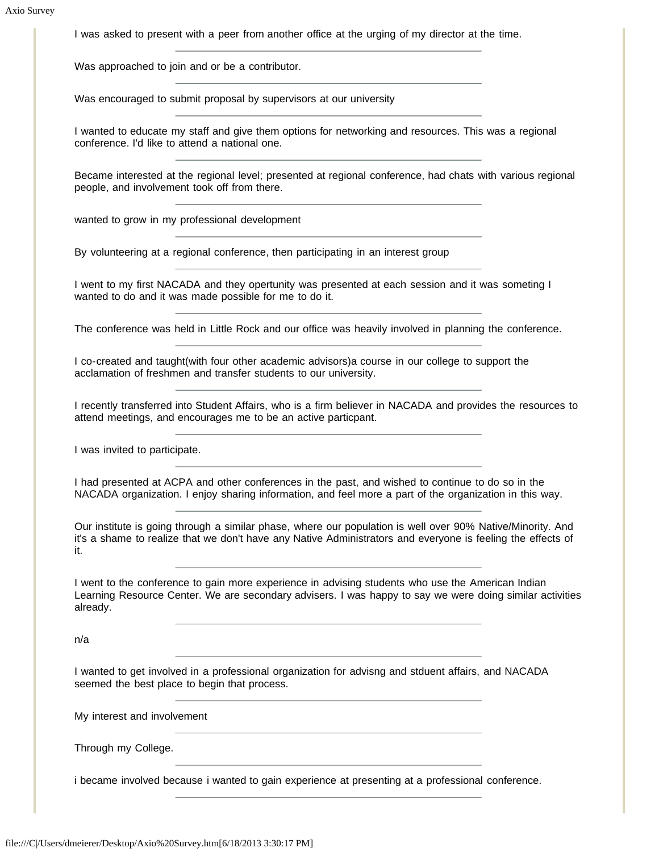I was asked to present with a peer from another office at the urging of my director at the time.

Was approached to join and or be a contributor.

Was encouraged to submit proposal by supervisors at our university

I wanted to educate my staff and give them options for networking and resources. This was a regional conference. I'd like to attend a national one.

Became interested at the regional level; presented at regional conference, had chats with various regional people, and involvement took off from there.

wanted to grow in my professional development

By volunteering at a regional conference, then participating in an interest group

I went to my first NACADA and they opertunity was presented at each session and it was someting I wanted to do and it was made possible for me to do it.

The conference was held in Little Rock and our office was heavily involved in planning the conference.

I co-created and taught(with four other academic advisors)a course in our college to support the acclamation of freshmen and transfer students to our university.

I recently transferred into Student Affairs, who is a firm believer in NACADA and provides the resources to attend meetings, and encourages me to be an active particpant.

I was invited to participate.

I had presented at ACPA and other conferences in the past, and wished to continue to do so in the NACADA organization. I enjoy sharing information, and feel more a part of the organization in this way.

Our institute is going through a similar phase, where our population is well over 90% Native/Minority. And it's a shame to realize that we don't have any Native Administrators and everyone is feeling the effects of it.

I went to the conference to gain more experience in advising students who use the American Indian Learning Resource Center. We are secondary advisers. I was happy to say we were doing similar activities already.

n/a

I wanted to get involved in a professional organization for advisng and stduent affairs, and NACADA seemed the best place to begin that process.

My interest and involvement

Through my College.

i became involved because i wanted to gain experience at presenting at a professional conference.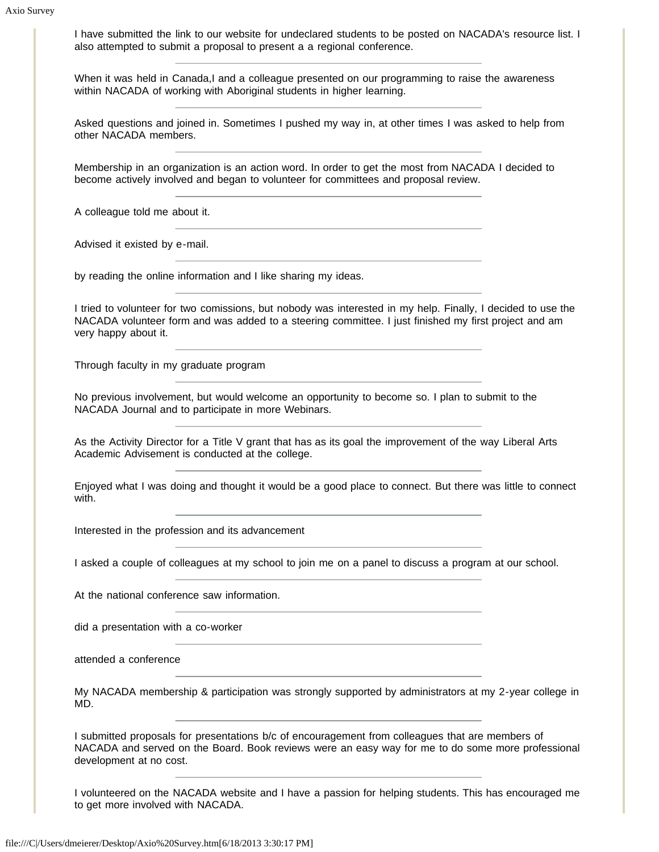I have submitted the link to our website for undeclared students to be posted on NACADA's resource list. I also attempted to submit a proposal to present a a regional conference.

When it was held in Canada,I and a colleague presented on our programming to raise the awareness within NACADA of working with Aboriginal students in higher learning.

Asked questions and joined in. Sometimes I pushed my way in, at other times I was asked to help from other NACADA members.

Membership in an organization is an action word. In order to get the most from NACADA I decided to become actively involved and began to volunteer for committees and proposal review.

A colleague told me about it.

Advised it existed by e-mail.

by reading the online information and I like sharing my ideas.

I tried to volunteer for two comissions, but nobody was interested in my help. Finally, I decided to use the NACADA volunteer form and was added to a steering committee. I just finished my first project and am very happy about it.

Through faculty in my graduate program

No previous involvement, but would welcome an opportunity to become so. I plan to submit to the NACADA Journal and to participate in more Webinars.

As the Activity Director for a Title V grant that has as its goal the improvement of the way Liberal Arts Academic Advisement is conducted at the college.

Enjoyed what I was doing and thought it would be a good place to connect. But there was little to connect with.

Interested in the profession and its advancement

I asked a couple of colleagues at my school to join me on a panel to discuss a program at our school.

At the national conference saw information.

did a presentation with a co-worker

attended a conference

My NACADA membership & participation was strongly supported by administrators at my 2-year college in MD.

I submitted proposals for presentations b/c of encouragement from colleagues that are members of NACADA and served on the Board. Book reviews were an easy way for me to do some more professional development at no cost.

I volunteered on the NACADA website and I have a passion for helping students. This has encouraged me to get more involved with NACADA.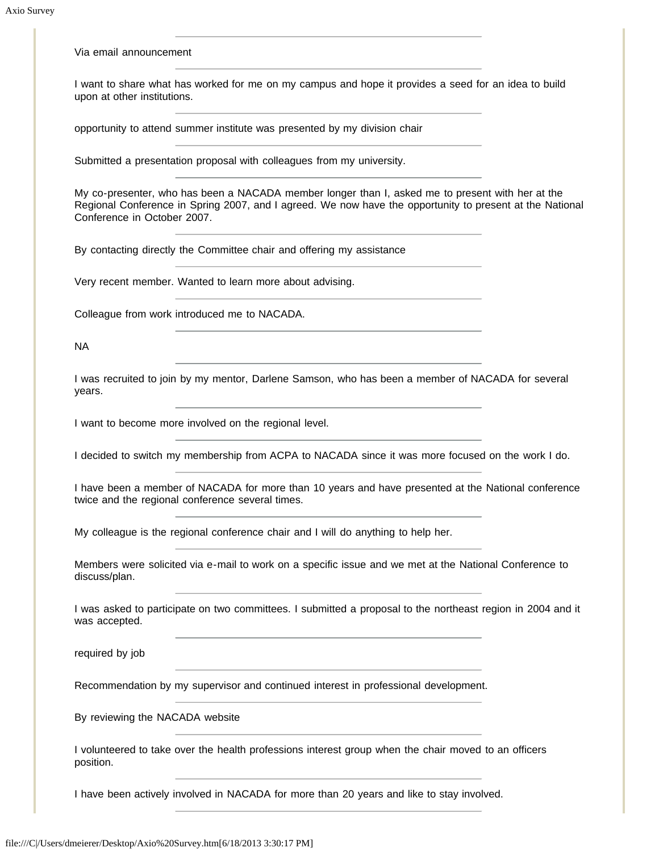Via email announcement

I want to share what has worked for me on my campus and hope it provides a seed for an idea to build upon at other institutions.

opportunity to attend summer institute was presented by my division chair

Submitted a presentation proposal with colleagues from my university.

My co-presenter, who has been a NACADA member longer than I, asked me to present with her at the Regional Conference in Spring 2007, and I agreed. We now have the opportunity to present at the National Conference in October 2007.

By contacting directly the Committee chair and offering my assistance

Very recent member. Wanted to learn more about advising.

Colleague from work introduced me to NACADA.

NA

I was recruited to join by my mentor, Darlene Samson, who has been a member of NACADA for several years.

I want to become more involved on the regional level.

I decided to switch my membership from ACPA to NACADA since it was more focused on the work I do.

I have been a member of NACADA for more than 10 years and have presented at the National conference twice and the regional conference several times.

My colleague is the regional conference chair and I will do anything to help her.

Members were solicited via e-mail to work on a specific issue and we met at the National Conference to discuss/plan.

I was asked to participate on two committees. I submitted a proposal to the northeast region in 2004 and it was accepted.

required by job

Recommendation by my supervisor and continued interest in professional development.

By reviewing the NACADA website

I volunteered to take over the health professions interest group when the chair moved to an officers position.

I have been actively involved in NACADA for more than 20 years and like to stay involved.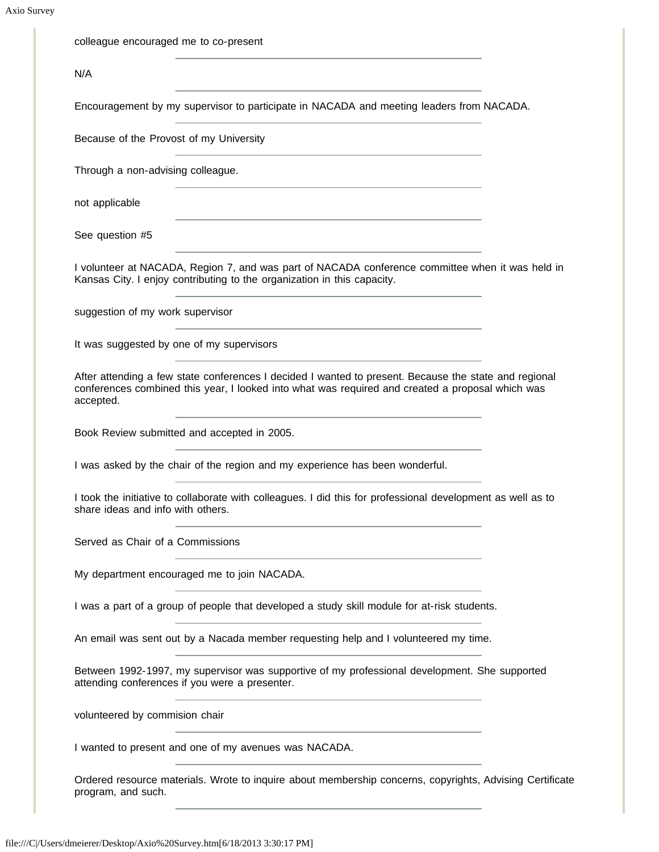| Encouragement by my supervisor to participate in NACADA and meeting leaders from NACADA.                                                                                                                  |
|-----------------------------------------------------------------------------------------------------------------------------------------------------------------------------------------------------------|
|                                                                                                                                                                                                           |
|                                                                                                                                                                                                           |
|                                                                                                                                                                                                           |
|                                                                                                                                                                                                           |
| I volunteer at NACADA, Region 7, and was part of NACADA conference committee when it was held in                                                                                                          |
|                                                                                                                                                                                                           |
|                                                                                                                                                                                                           |
| After attending a few state conferences I decided I wanted to present. Because the state and regional<br>conferences combined this year, I looked into what was required and created a proposal which was |
|                                                                                                                                                                                                           |
|                                                                                                                                                                                                           |
| I took the initiative to collaborate with colleagues. I did this for professional development as well as to                                                                                               |
|                                                                                                                                                                                                           |
|                                                                                                                                                                                                           |
| I was a part of a group of people that developed a study skill module for at-risk students.                                                                                                               |
|                                                                                                                                                                                                           |
| Between 1992-1997, my supervisor was supportive of my professional development. She supported                                                                                                             |
|                                                                                                                                                                                                           |
|                                                                                                                                                                                                           |
| Ordered resource materials. Wrote to inquire about membership concerns, copyrights, Advising Certificate                                                                                                  |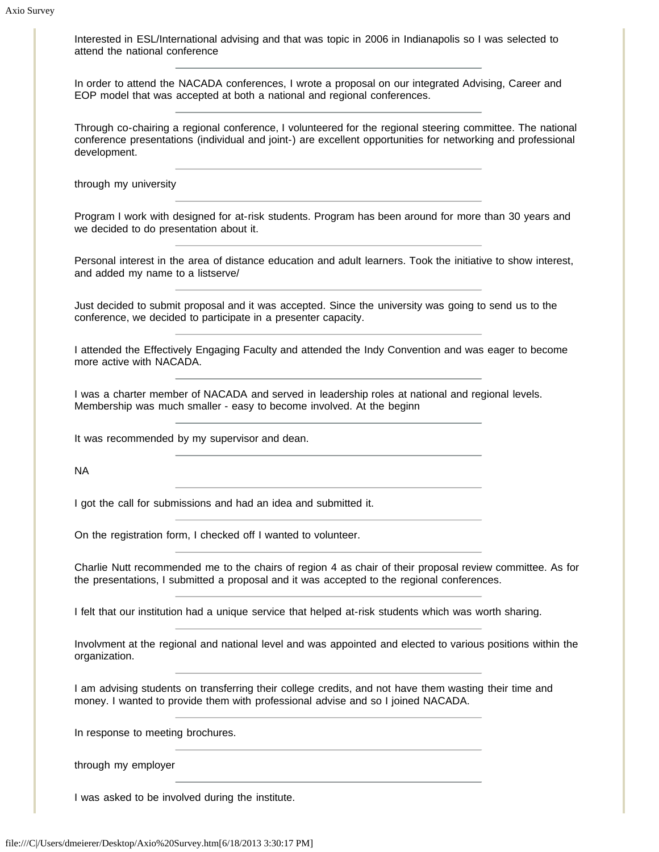Interested in ESL/International advising and that was topic in 2006 in Indianapolis so I was selected to attend the national conference

In order to attend the NACADA conferences, I wrote a proposal on our integrated Advising, Career and EOP model that was accepted at both a national and regional conferences.

Through co-chairing a regional conference, I volunteered for the regional steering committee. The national conference presentations (individual and joint-) are excellent opportunities for networking and professional development.

through my university

Program I work with designed for at-risk students. Program has been around for more than 30 years and we decided to do presentation about it.

Personal interest in the area of distance education and adult learners. Took the initiative to show interest, and added my name to a listserve/

Just decided to submit proposal and it was accepted. Since the university was going to send us to the conference, we decided to participate in a presenter capacity.

I attended the Effectively Engaging Faculty and attended the Indy Convention and was eager to become more active with NACADA.

I was a charter member of NACADA and served in leadership roles at national and regional levels. Membership was much smaller - easy to become involved. At the beginn

It was recommended by my supervisor and dean.

NA

I got the call for submissions and had an idea and submitted it.

On the registration form, I checked off I wanted to volunteer.

Charlie Nutt recommended me to the chairs of region 4 as chair of their proposal review committee. As for the presentations, I submitted a proposal and it was accepted to the regional conferences.

I felt that our institution had a unique service that helped at-risk students which was worth sharing.

Involvment at the regional and national level and was appointed and elected to various positions within the organization.

I am advising students on transferring their college credits, and not have them wasting their time and money. I wanted to provide them with professional advise and so I joined NACADA.

In response to meeting brochures.

through my employer

I was asked to be involved during the institute.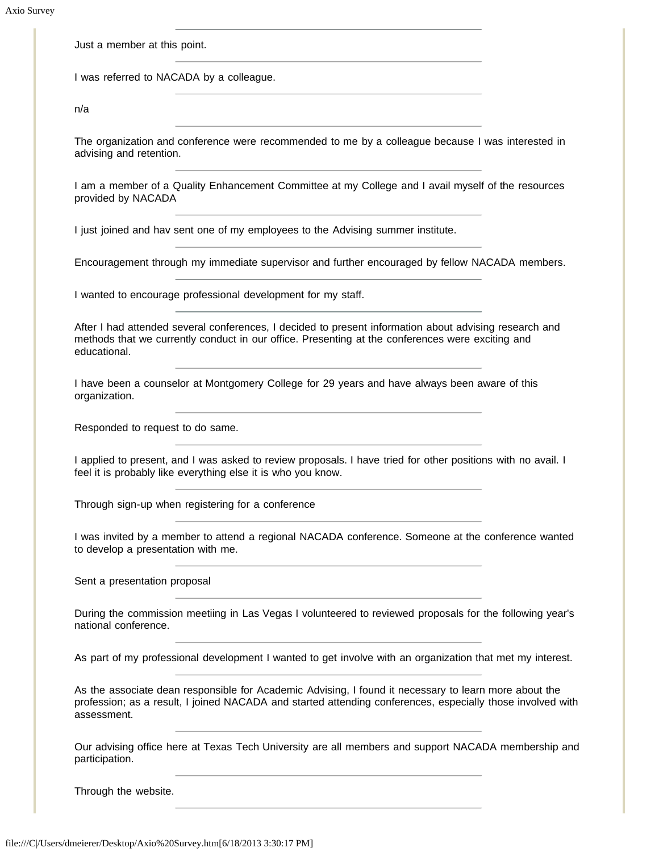Just a member at this point.

I was referred to NACADA by a colleague.

n/a

The organization and conference were recommended to me by a colleague because I was interested in advising and retention.

I am a member of a Quality Enhancement Committee at my College and I avail myself of the resources provided by NACADA

I just joined and hav sent one of my employees to the Advising summer institute.

Encouragement through my immediate supervisor and further encouraged by fellow NACADA members.

I wanted to encourage professional development for my staff.

After I had attended several conferences, I decided to present information about advising research and methods that we currently conduct in our office. Presenting at the conferences were exciting and educational.

I have been a counselor at Montgomery College for 29 years and have always been aware of this organization.

Responded to request to do same.

I applied to present, and I was asked to review proposals. I have tried for other positions with no avail. I feel it is probably like everything else it is who you know.

Through sign-up when registering for a conference

I was invited by a member to attend a regional NACADA conference. Someone at the conference wanted to develop a presentation with me.

Sent a presentation proposal

During the commission meetiing in Las Vegas I volunteered to reviewed proposals for the following year's national conference.

As part of my professional development I wanted to get involve with an organization that met my interest.

As the associate dean responsible for Academic Advising, I found it necessary to learn more about the profession; as a result, I joined NACADA and started attending conferences, especially those involved with assessment.

Our advising office here at Texas Tech University are all members and support NACADA membership and participation.

Through the website.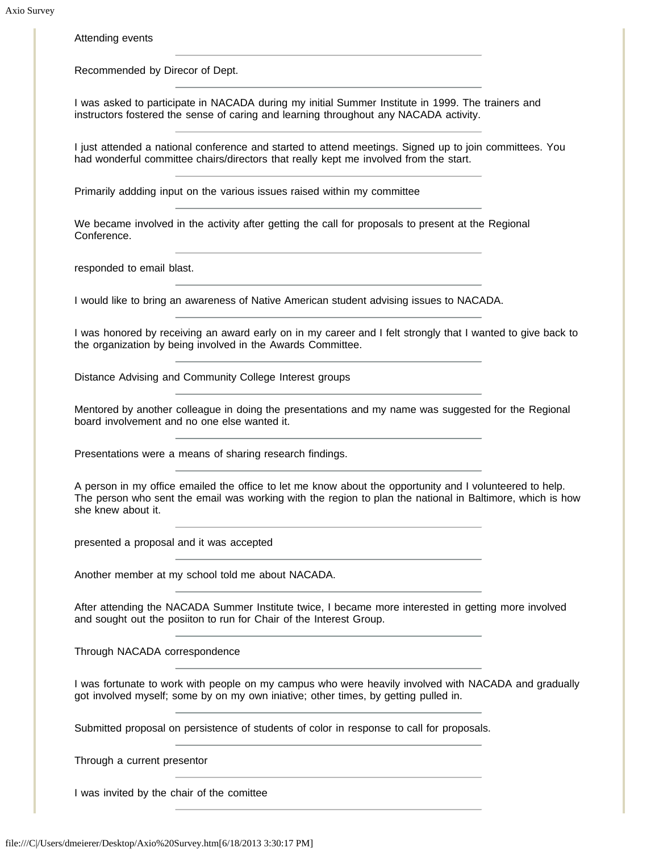Attending events

Recommended by Direcor of Dept.

I was asked to participate in NACADA during my initial Summer Institute in 1999. The trainers and instructors fostered the sense of caring and learning throughout any NACADA activity.

I just attended a national conference and started to attend meetings. Signed up to join committees. You had wonderful committee chairs/directors that really kept me involved from the start.

Primarily addding input on the various issues raised within my committee

We became involved in the activity after getting the call for proposals to present at the Regional Conference.

responded to email blast.

I would like to bring an awareness of Native American student advising issues to NACADA.

I was honored by receiving an award early on in my career and I felt strongly that I wanted to give back to the organization by being involved in the Awards Committee.

Distance Advising and Community College Interest groups

Mentored by another colleague in doing the presentations and my name was suggested for the Regional board involvement and no one else wanted it.

Presentations were a means of sharing research findings.

A person in my office emailed the office to let me know about the opportunity and I volunteered to help. The person who sent the email was working with the region to plan the national in Baltimore, which is how she knew about it.

presented a proposal and it was accepted

Another member at my school told me about NACADA.

After attending the NACADA Summer Institute twice, I became more interested in getting more involved and sought out the posiiton to run for Chair of the Interest Group.

Through NACADA correspondence

I was fortunate to work with people on my campus who were heavily involved with NACADA and gradually got involved myself; some by on my own iniative; other times, by getting pulled in.

Submitted proposal on persistence of students of color in response to call for proposals.

Through a current presentor

I was invited by the chair of the comittee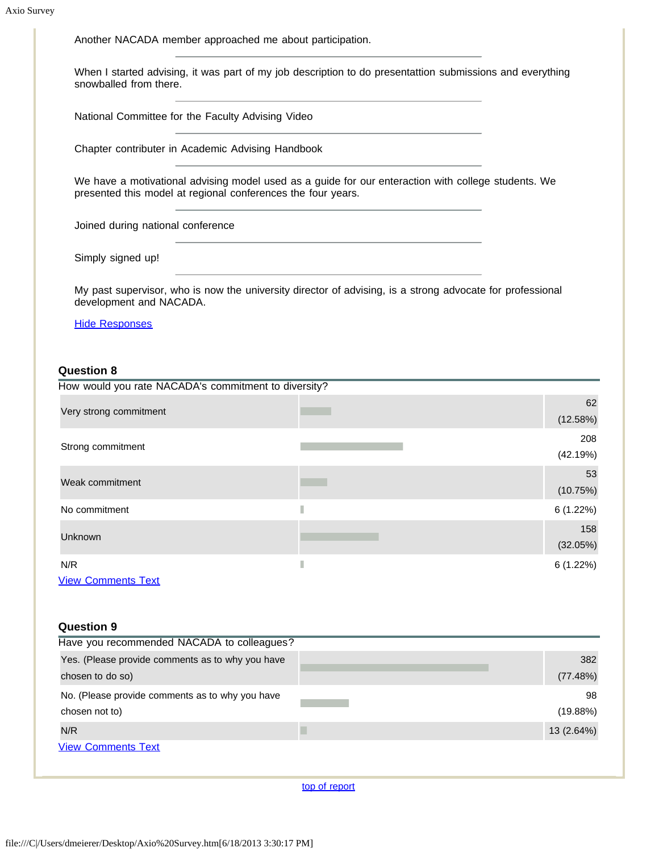Another NACADA member approached me about participation.

When I started advising, it was part of my job description to do presentattion submissions and everything snowballed from there.

National Committee for the Faculty Advising Video

Chapter contributer in Academic Advising Handbook

We have a motivational advising model used as a guide for our enteraction with college students. We presented this model at regional conferences the four years.

Joined during national conference

Simply signed up!

My past supervisor, who is now the university director of advising, is a strong advocate for professional development and NACADA.

#### [Hide Responses](javascript:showHideResponses(323999);)

### **Question 8**

| How would you rate NACADA's commitment to diversity? |   |                 |
|------------------------------------------------------|---|-----------------|
| Very strong commitment                               |   | 62<br>(12.58%)  |
| Strong commitment                                    |   | 208<br>(42.19%) |
| Weak commitment                                      |   | 53<br>(10.75%)  |
| No commitment                                        | П | 6(1.22%)        |
| Unknown                                              |   | 158<br>(32.05%) |
| N/R<br><b>View Comments Text</b>                     | П | 6(1.22%)        |

| Question 9 |  |
|------------|--|
|------------|--|

| Have you recommended NACADA to colleagues?       |            |
|--------------------------------------------------|------------|
| Yes. (Please provide comments as to why you have | 382        |
| chosen to do so)                                 | (77.48%)   |
| No. (Please provide comments as to why you have  | 98         |
| chosen not to)                                   | (19.88%)   |
| N/R                                              | 13 (2.64%) |
| <b>View Comments Text</b>                        |            |
|                                                  |            |

[top of report](https://online.ksu.edu/Survey/PublicReport?offeringId=70361#top)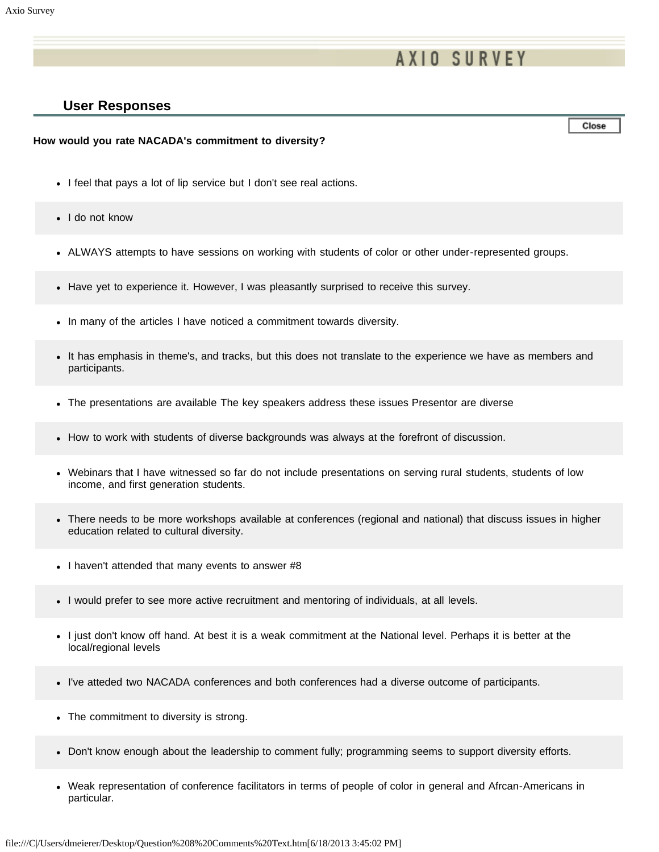# **AXIO SURVEY**

### **User Responses**

Close

#### **How would you rate NACADA's commitment to diversity?**

- I feel that pays a lot of lip service but I don't see real actions.
- I do not know
- ALWAYS attempts to have sessions on working with students of color or other under-represented groups.
- Have yet to experience it. However, I was pleasantly surprised to receive this survey.
- In many of the articles I have noticed a commitment towards diversity.
- It has emphasis in theme's, and tracks, but this does not translate to the experience we have as members and participants.
- The presentations are available The key speakers address these issues Presentor are diverse
- How to work with students of diverse backgrounds was always at the forefront of discussion.
- Webinars that I have witnessed so far do not include presentations on serving rural students, students of low income, and first generation students.
- There needs to be more workshops available at conferences (regional and national) that discuss issues in higher education related to cultural diversity.
- I haven't attended that many events to answer #8
- I would prefer to see more active recruitment and mentoring of individuals, at all levels.
- I just don't know off hand. At best it is a weak commitment at the National level. Perhaps it is better at the local/regional levels
- I've atteded two NACADA conferences and both conferences had a diverse outcome of participants.
- The commitment to diversity is strong.
- Don't know enough about the leadership to comment fully; programming seems to support diversity efforts.
- Weak representation of conference facilitators in terms of people of color in general and Afrcan-Americans in particular.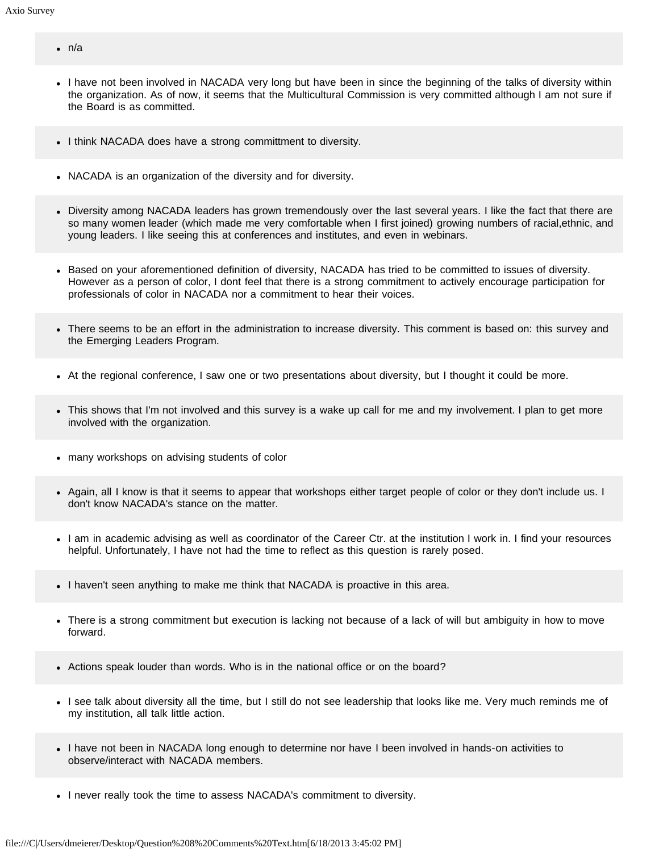- n/a
- I have not been involved in NACADA very long but have been in since the beginning of the talks of diversity within the organization. As of now, it seems that the Multicultural Commission is very committed although I am not sure if the Board is as committed.
- I think NACADA does have a strong committment to diversity.
- NACADA is an organization of the diversity and for diversity.
- Diversity among NACADA leaders has grown tremendously over the last several years. I like the fact that there are so many women leader (which made me very comfortable when I first joined) growing numbers of racial,ethnic, and young leaders. I like seeing this at conferences and institutes, and even in webinars.
- Based on your aforementioned definition of diversity, NACADA has tried to be committed to issues of diversity. However as a person of color, I dont feel that there is a strong commitment to actively encourage participation for professionals of color in NACADA nor a commitment to hear their voices.
- There seems to be an effort in the administration to increase diversity. This comment is based on: this survey and the Emerging Leaders Program.
- At the regional conference, I saw one or two presentations about diversity, but I thought it could be more.
- This shows that I'm not involved and this survey is a wake up call for me and my involvement. I plan to get more involved with the organization.
- many workshops on advising students of color
- Again, all I know is that it seems to appear that workshops either target people of color or they don't include us. I don't know NACADA's stance on the matter.
- I am in academic advising as well as coordinator of the Career Ctr. at the institution I work in. I find your resources helpful. Unfortunately, I have not had the time to reflect as this question is rarely posed.
- I haven't seen anything to make me think that NACADA is proactive in this area.
- There is a strong commitment but execution is lacking not because of a lack of will but ambiguity in how to move forward.
- Actions speak louder than words. Who is in the national office or on the board?
- I see talk about diversity all the time, but I still do not see leadership that looks like me. Very much reminds me of my institution, all talk little action.
- I have not been in NACADA long enough to determine nor have I been involved in hands-on activities to observe/interact with NACADA members.
- I never really took the time to assess NACADA's commitment to diversity.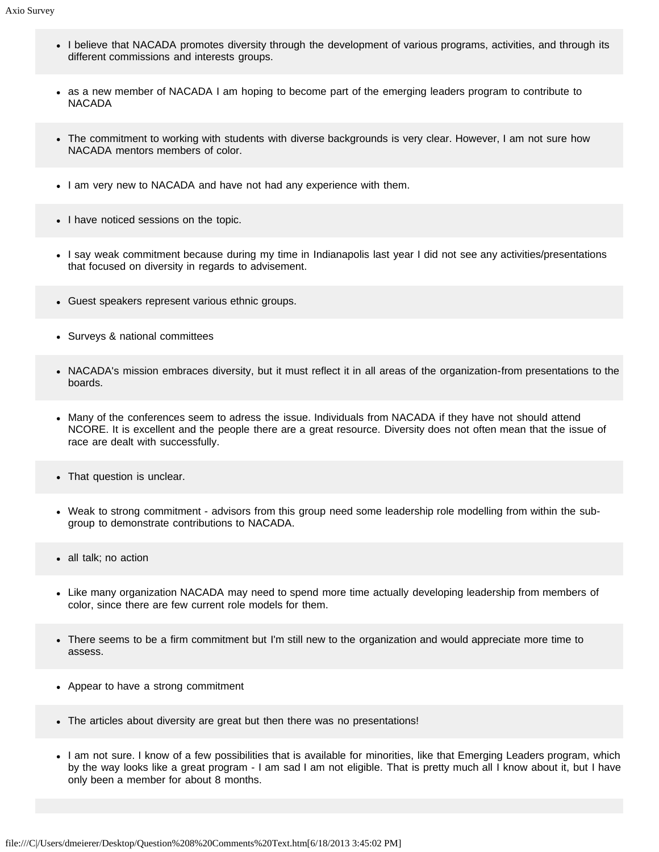- I believe that NACADA promotes diversity through the development of various programs, activities, and through its different commissions and interests groups.
- as a new member of NACADA I am hoping to become part of the emerging leaders program to contribute to NACADA
- The commitment to working with students with diverse backgrounds is very clear. However, I am not sure how NACADA mentors members of color.
- I am very new to NACADA and have not had any experience with them.
- I have noticed sessions on the topic.
- I say weak commitment because during my time in Indianapolis last year I did not see any activities/presentations that focused on diversity in regards to advisement.
- Guest speakers represent various ethnic groups.
- Surveys & national committees
- NACADA's mission embraces diversity, but it must reflect it in all areas of the organization-from presentations to the boards.
- Many of the conferences seem to adress the issue. Individuals from NACADA if they have not should attend NCORE. It is excellent and the people there are a great resource. Diversity does not often mean that the issue of race are dealt with successfully.
- That question is unclear.
- Weak to strong commitment advisors from this group need some leadership role modelling from within the subgroup to demonstrate contributions to NACADA.
- all talk; no action
- Like many organization NACADA may need to spend more time actually developing leadership from members of color, since there are few current role models for them.
- There seems to be a firm commitment but I'm still new to the organization and would appreciate more time to assess.
- Appear to have a strong commitment
- The articles about diversity are great but then there was no presentations!
- I am not sure. I know of a few possibilities that is available for minorities, like that Emerging Leaders program, which by the way looks like a great program - I am sad I am not eligible. That is pretty much all I know about it, but I have only been a member for about 8 months.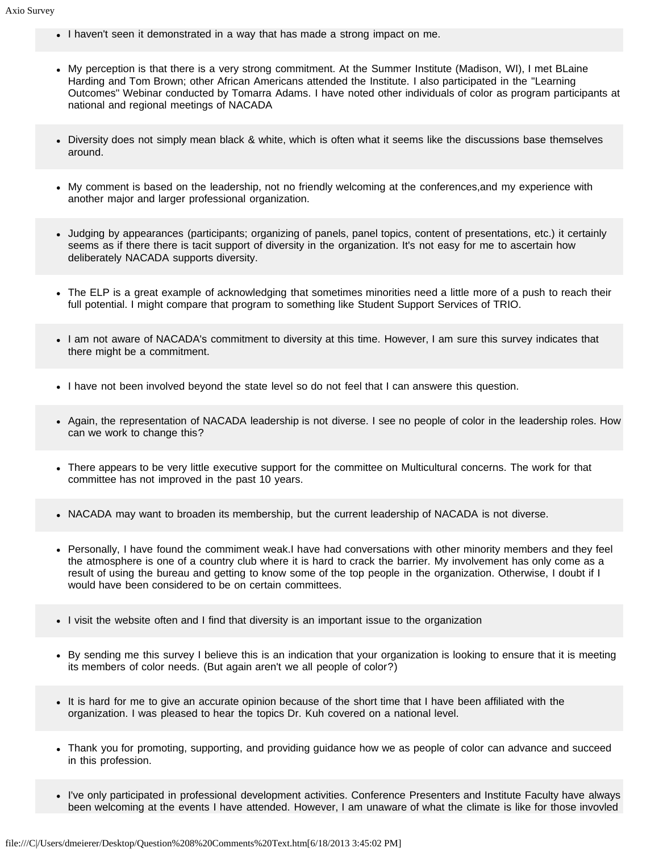- I haven't seen it demonstrated in a way that has made a strong impact on me.
- My perception is that there is a very strong commitment. At the Summer Institute (Madison, WI), I met BLaine Harding and Tom Brown; other African Americans attended the Institute. I also participated in the "Learning Outcomes" Webinar conducted by Tomarra Adams. I have noted other individuals of color as program participants at national and regional meetings of NACADA
- Diversity does not simply mean black & white, which is often what it seems like the discussions base themselves around.
- My comment is based on the leadership, not no friendly welcoming at the conferences,and my experience with another major and larger professional organization.
- Judging by appearances (participants; organizing of panels, panel topics, content of presentations, etc.) it certainly seems as if there there is tacit support of diversity in the organization. It's not easy for me to ascertain how deliberately NACADA supports diversity.
- The ELP is a great example of acknowledging that sometimes minorities need a little more of a push to reach their full potential. I might compare that program to something like Student Support Services of TRIO.
- I am not aware of NACADA's commitment to diversity at this time. However, I am sure this survey indicates that there might be a commitment.
- I have not been involved beyond the state level so do not feel that I can answere this question.
- Again, the representation of NACADA leadership is not diverse. I see no people of color in the leadership roles. How can we work to change this?
- There appears to be very little executive support for the committee on Multicultural concerns. The work for that committee has not improved in the past 10 years.
- NACADA may want to broaden its membership, but the current leadership of NACADA is not diverse.
- Personally, I have found the commiment weak.I have had conversations with other minority members and they feel the atmosphere is one of a country club where it is hard to crack the barrier. My involvement has only come as a result of using the bureau and getting to know some of the top people in the organization. Otherwise, I doubt if I would have been considered to be on certain committees.
- I visit the website often and I find that diversity is an important issue to the organization
- By sending me this survey I believe this is an indication that your organization is looking to ensure that it is meeting its members of color needs. (But again aren't we all people of color?)
- It is hard for me to give an accurate opinion because of the short time that I have been affiliated with the organization. I was pleased to hear the topics Dr. Kuh covered on a national level.
- Thank you for promoting, supporting, and providing guidance how we as people of color can advance and succeed in this profession.
- I've only participated in professional development activities. Conference Presenters and Institute Faculty have always been welcoming at the events I have attended. However, I am unaware of what the climate is like for those invovled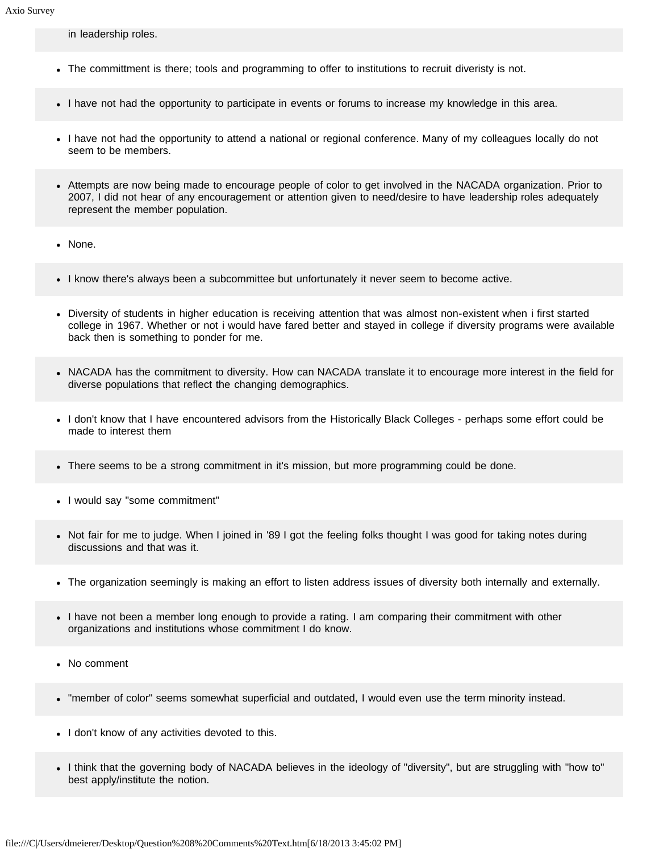in leadership roles.

- The committment is there; tools and programming to offer to institutions to recruit diveristy is not.
- I have not had the opportunity to participate in events or forums to increase my knowledge in this area.
- I have not had the opportunity to attend a national or regional conference. Many of my colleagues locally do not seem to be members.
- Attempts are now being made to encourage people of color to get involved in the NACADA organization. Prior to 2007, I did not hear of any encouragement or attention given to need/desire to have leadership roles adequately represent the member population.
- None.
- I know there's always been a subcommittee but unfortunately it never seem to become active.
- Diversity of students in higher education is receiving attention that was almost non-existent when i first started college in 1967. Whether or not i would have fared better and stayed in college if diversity programs were available back then is something to ponder for me.
- NACADA has the commitment to diversity. How can NACADA translate it to encourage more interest in the field for diverse populations that reflect the changing demographics.
- I don't know that I have encountered advisors from the Historically Black Colleges perhaps some effort could be made to interest them
- There seems to be a strong commitment in it's mission, but more programming could be done.
- I would say "some commitment"
- Not fair for me to judge. When I joined in '89 I got the feeling folks thought I was good for taking notes during discussions and that was it.
- The organization seemingly is making an effort to listen address issues of diversity both internally and externally.
- I have not been a member long enough to provide a rating. I am comparing their commitment with other organizations and institutions whose commitment I do know.
- No comment
- "member of color" seems somewhat superficial and outdated, I would even use the term minority instead.
- I don't know of any activities devoted to this.
- I think that the governing body of NACADA believes in the ideology of "diversity", but are struggling with "how to" best apply/institute the notion.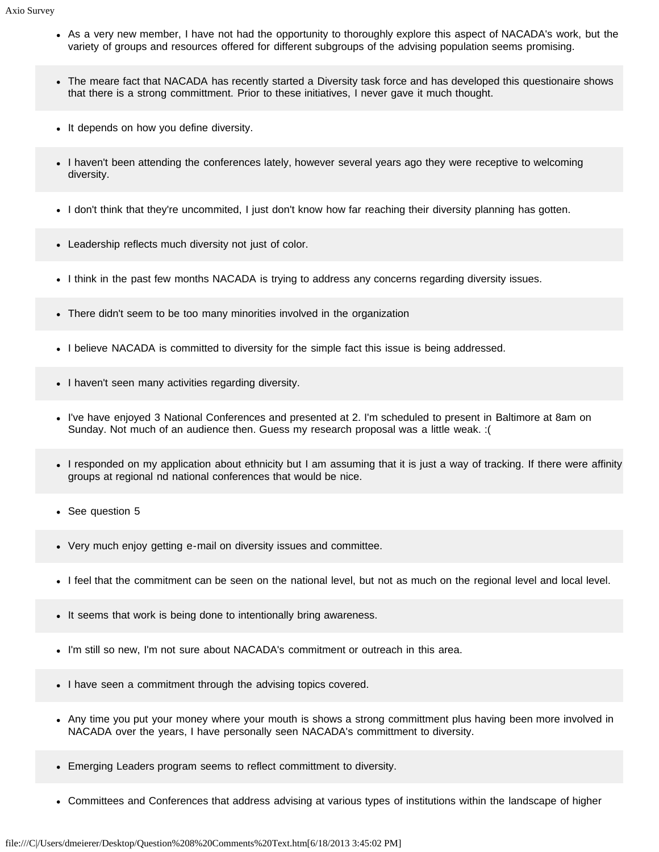- As a very new member, I have not had the opportunity to thoroughly explore this aspect of NACADA's work, but the variety of groups and resources offered for different subgroups of the advising population seems promising.
- The meare fact that NACADA has recently started a Diversity task force and has developed this questionaire shows that there is a strong committment. Prior to these initiatives, I never gave it much thought.
- It depends on how you define diversity.
- I haven't been attending the conferences lately, however several years ago they were receptive to welcoming diversity.
- I don't think that they're uncommited, I just don't know how far reaching their diversity planning has gotten.
- Leadership reflects much diversity not just of color.
- I think in the past few months NACADA is trying to address any concerns regarding diversity issues.
- There didn't seem to be too many minorities involved in the organization
- I believe NACADA is committed to diversity for the simple fact this issue is being addressed.
- I haven't seen many activities regarding diversity.
- I've have enjoyed 3 National Conferences and presented at 2. I'm scheduled to present in Baltimore at 8am on Sunday. Not much of an audience then. Guess my research proposal was a little weak. :(
- I responded on my application about ethnicity but I am assuming that it is just a way of tracking. If there were affinity groups at regional nd national conferences that would be nice.
- See question 5
- Very much enjoy getting e-mail on diversity issues and committee.
- I feel that the commitment can be seen on the national level, but not as much on the regional level and local level.
- It seems that work is being done to intentionally bring awareness.
- I'm still so new, I'm not sure about NACADA's commitment or outreach in this area.
- I have seen a commitment through the advising topics covered.
- Any time you put your money where your mouth is shows a strong committment plus having been more involved in NACADA over the years, I have personally seen NACADA's committment to diversity.
- Emerging Leaders program seems to reflect committment to diversity.
- Committees and Conferences that address advising at various types of institutions within the landscape of higher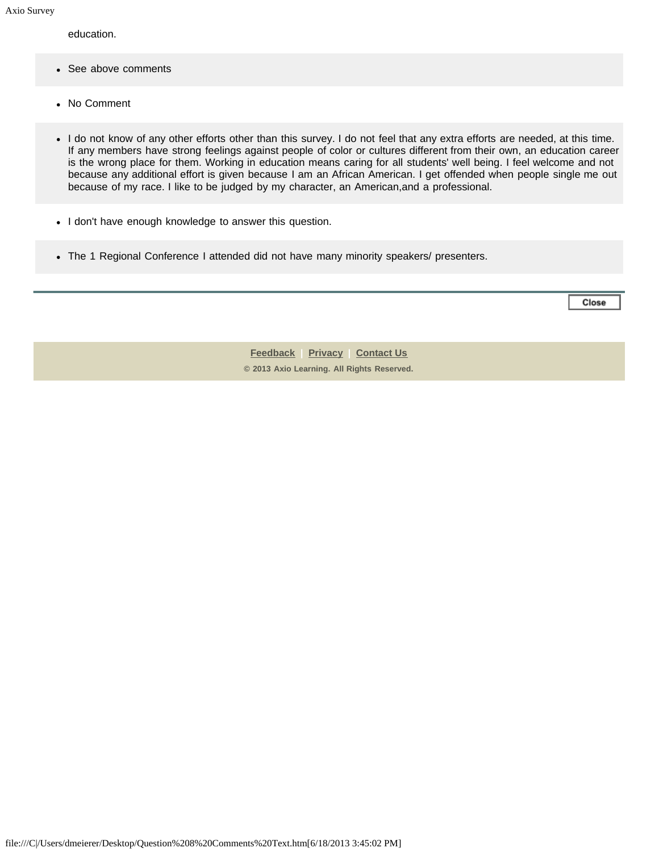education.

- See above comments
- No Comment
- I do not know of any other efforts other than this survey. I do not feel that any extra efforts are needed, at this time. If any members have strong feelings against people of color or cultures different from their own, an education career is the wrong place for them. Working in education means caring for all students' well being. I feel welcome and not because any additional effort is given because I am an African American. I get offended when people single me out because of my race. I like to be judged by my character, an American,and a professional.
- I don't have enough knowledge to answer this question.
- The 1 Regional Conference I attended did not have many minority speakers/ presenters.

Close

**[Feedback](https://online.ksu.edu/Survey/public/feedback.jsp) | [Privacy](https://online.ksu.edu/Survey/public/privacy.jsp) | [Contact Us](https://online.ksu.edu/Survey/public/plain_about_us.jsp) © 2013 Axio Learning. All Rights Reserved.**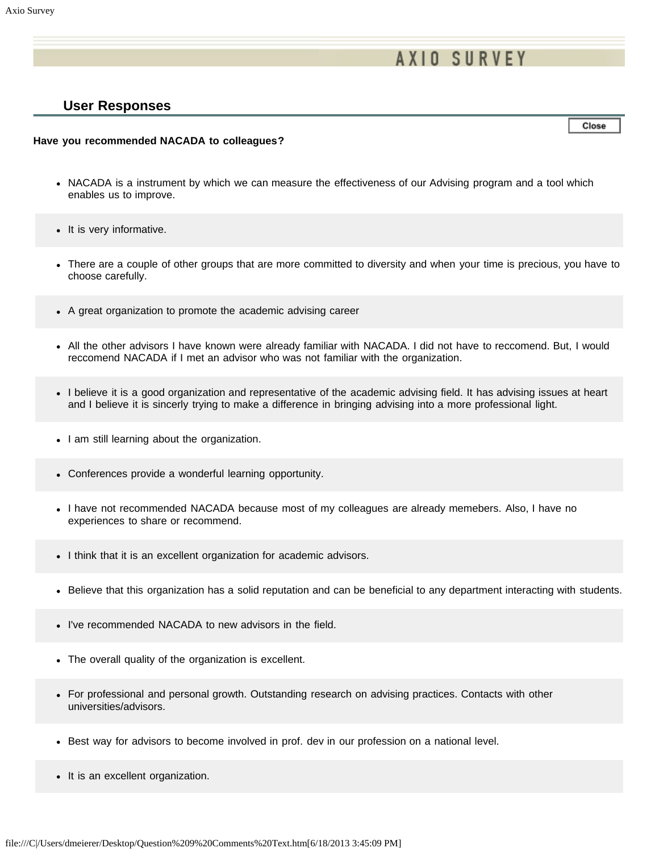# **AXIO SURVEY**

### **User Responses**

Close

#### **Have you recommended NACADA to colleagues?**

- NACADA is a instrument by which we can measure the effectiveness of our Advising program and a tool which enables us to improve.
- It is very informative.
- There are a couple of other groups that are more committed to diversity and when your time is precious, you have to choose carefully.
- A great organization to promote the academic advising career
- All the other advisors I have known were already familiar with NACADA. I did not have to reccomend. But, I would reccomend NACADA if I met an advisor who was not familiar with the organization.
- I believe it is a good organization and representative of the academic advising field. It has advising issues at heart and I believe it is sincerly trying to make a difference in bringing advising into a more professional light.
- I am still learning about the organization.
- Conferences provide a wonderful learning opportunity.
- I have not recommended NACADA because most of my colleagues are already memebers. Also, I have no experiences to share or recommend.
- I think that it is an excellent organization for academic advisors.
- Believe that this organization has a solid reputation and can be beneficial to any department interacting with students.
- I've recommended NACADA to new advisors in the field.
- The overall quality of the organization is excellent.
- For professional and personal growth. Outstanding research on advising practices. Contacts with other universities/advisors.
- Best way for advisors to become involved in prof. dev in our profession on a national level.
- It is an excellent organization.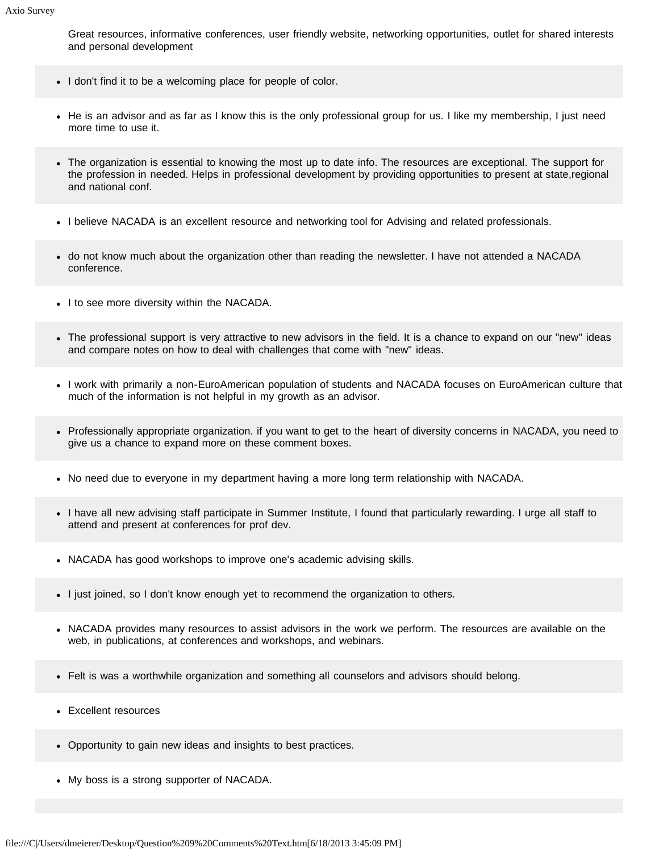Great resources, informative conferences, user friendly website, networking opportunities, outlet for shared interests and personal development

- I don't find it to be a welcoming place for people of color.
- He is an advisor and as far as I know this is the only professional group for us. I like my membership, I just need more time to use it.
- The organization is essential to knowing the most up to date info. The resources are exceptional. The support for the profession in needed. Helps in professional development by providing opportunities to present at state,regional and national conf.
- I believe NACADA is an excellent resource and networking tool for Advising and related professionals.
- do not know much about the organization other than reading the newsletter. I have not attended a NACADA conference.
- I to see more diversity within the NACADA.
- The professional support is very attractive to new advisors in the field. It is a chance to expand on our "new" ideas and compare notes on how to deal with challenges that come with "new" ideas.
- I work with primarily a non-EuroAmerican population of students and NACADA focuses on EuroAmerican culture that much of the information is not helpful in my growth as an advisor.
- Professionally appropriate organization. if you want to get to the heart of diversity concerns in NACADA, you need to give us a chance to expand more on these comment boxes.
- No need due to everyone in my department having a more long term relationship with NACADA.
- I have all new advising staff participate in Summer Institute, I found that particularly rewarding. I urge all staff to attend and present at conferences for prof dev.
- NACADA has good workshops to improve one's academic advising skills.
- I just joined, so I don't know enough yet to recommend the organization to others.
- NACADA provides many resources to assist advisors in the work we perform. The resources are available on the web, in publications, at conferences and workshops, and webinars.
- Felt is was a worthwhile organization and something all counselors and advisors should belong.
- Excellent resources
- Opportunity to gain new ideas and insights to best practices.
- My boss is a strong supporter of NACADA.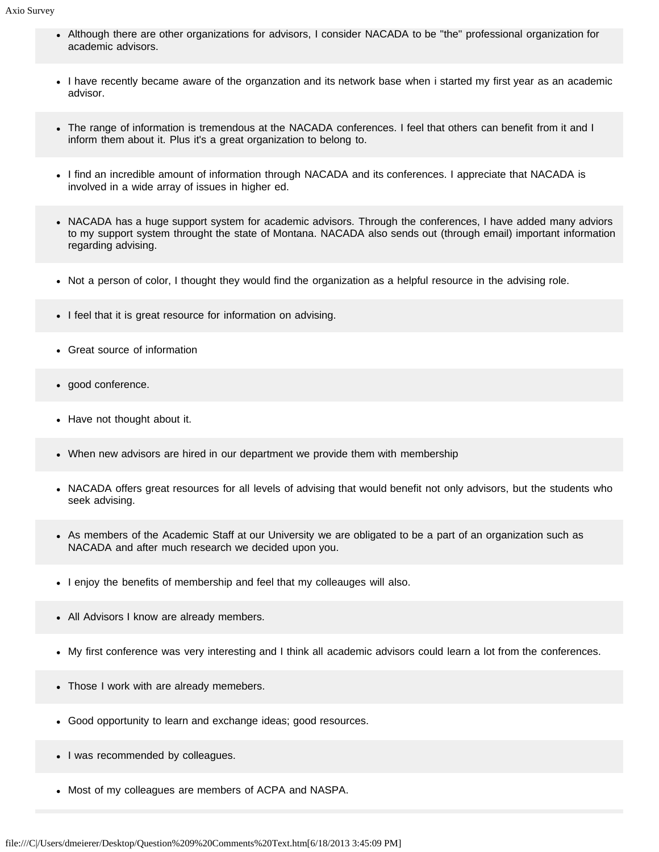- Although there are other organizations for advisors, I consider NACADA to be "the" professional organization for academic advisors.
- I have recently became aware of the organzation and its network base when i started my first year as an academic advisor.
- The range of information is tremendous at the NACADA conferences. I feel that others can benefit from it and I inform them about it. Plus it's a great organization to belong to.
- I find an incredible amount of information through NACADA and its conferences. I appreciate that NACADA is involved in a wide array of issues in higher ed.
- NACADA has a huge support system for academic advisors. Through the conferences, I have added many adviors to my support system throught the state of Montana. NACADA also sends out (through email) important information regarding advising.
- Not a person of color, I thought they would find the organization as a helpful resource in the advising role.
- I feel that it is great resource for information on advising.
- Great source of information
- good conference.
- Have not thought about it.
- When new advisors are hired in our department we provide them with membership
- NACADA offers great resources for all levels of advising that would benefit not only advisors, but the students who seek advising.
- As members of the Academic Staff at our University we are obligated to be a part of an organization such as NACADA and after much research we decided upon you.
- I enjoy the benefits of membership and feel that my colleauges will also.
- All Advisors I know are already members.
- My first conference was very interesting and I think all academic advisors could learn a lot from the conferences.
- Those I work with are already memebers.
- Good opportunity to learn and exchange ideas; good resources.
- I was recommended by colleagues.
- Most of my colleagues are members of ACPA and NASPA.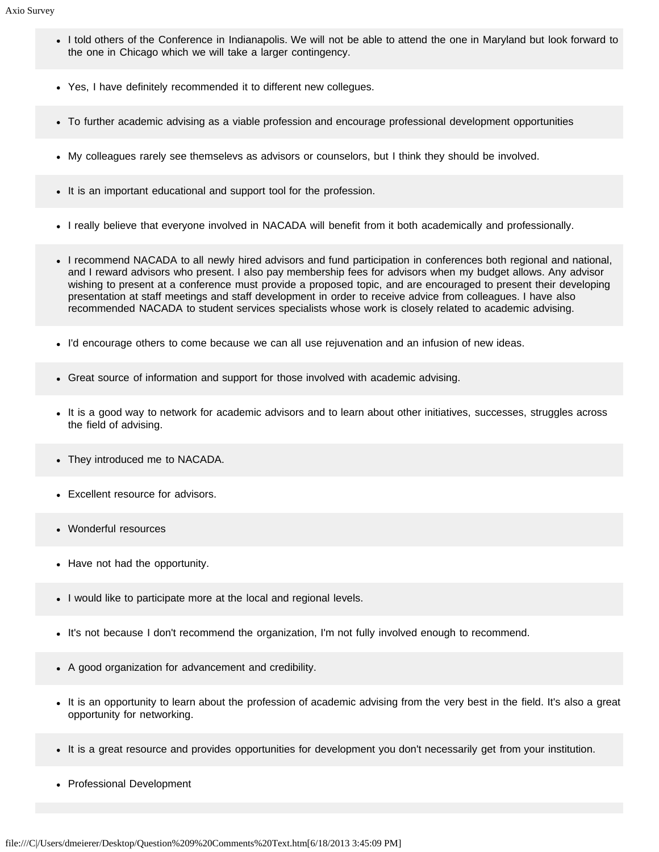- I told others of the Conference in Indianapolis. We will not be able to attend the one in Maryland but look forward to the one in Chicago which we will take a larger contingency.
- Yes, I have definitely recommended it to different new collegues.
- To further academic advising as a viable profession and encourage professional development opportunities
- My colleagues rarely see themselevs as advisors or counselors, but I think they should be involved.
- It is an important educational and support tool for the profession.
- I really believe that everyone involved in NACADA will benefit from it both academically and professionally.
- I recommend NACADA to all newly hired advisors and fund participation in conferences both regional and national, and I reward advisors who present. I also pay membership fees for advisors when my budget allows. Any advisor wishing to present at a conference must provide a proposed topic, and are encouraged to present their developing presentation at staff meetings and staff development in order to receive advice from colleagues. I have also recommended NACADA to student services specialists whose work is closely related to academic advising.
- I'd encourage others to come because we can all use rejuvenation and an infusion of new ideas.
- Great source of information and support for those involved with academic advising.
- It is a good way to network for academic advisors and to learn about other initiatives, successes, struggles across the field of advising.
- They introduced me to NACADA.
- Excellent resource for advisors.
- Wonderful resources
- Have not had the opportunity.
- I would like to participate more at the local and regional levels.
- It's not because I don't recommend the organization, I'm not fully involved enough to recommend.
- A good organization for advancement and credibility.
- It is an opportunity to learn about the profession of academic advising from the very best in the field. It's also a great opportunity for networking.
- It is a great resource and provides opportunities for development you don't necessarily get from your institution.
- Professional Development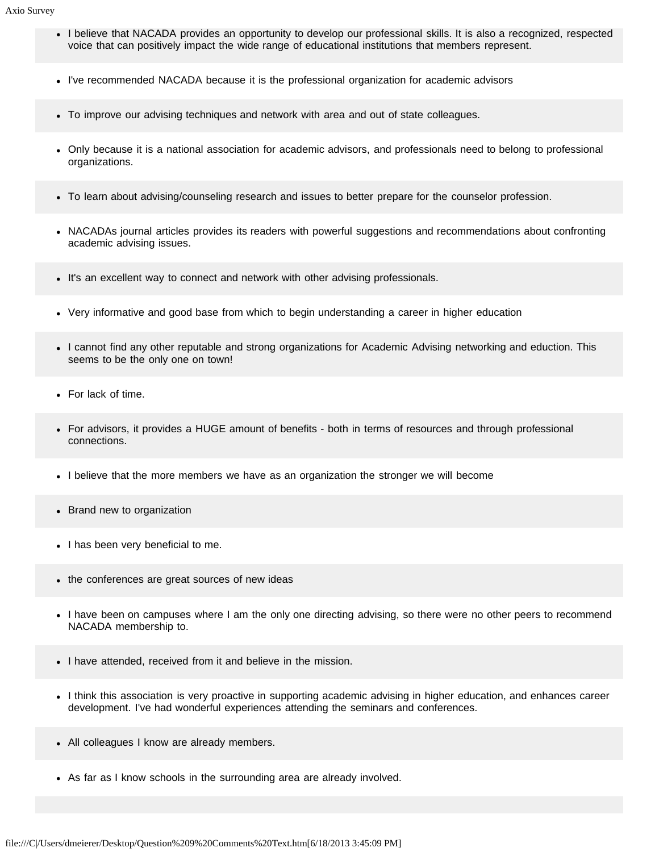- I believe that NACADA provides an opportunity to develop our professional skills. It is also a recognized, respected voice that can positively impact the wide range of educational institutions that members represent.
- I've recommended NACADA because it is the professional organization for academic advisors
- To improve our advising techniques and network with area and out of state colleagues.
- Only because it is a national association for academic advisors, and professionals need to belong to professional organizations.
- To learn about advising/counseling research and issues to better prepare for the counselor profession.
- NACADAs journal articles provides its readers with powerful suggestions and recommendations about confronting academic advising issues.
- It's an excellent way to connect and network with other advising professionals.
- Very informative and good base from which to begin understanding a career in higher education
- I cannot find any other reputable and strong organizations for Academic Advising networking and eduction. This seems to be the only one on town!
- For lack of time.
- For advisors, it provides a HUGE amount of benefits both in terms of resources and through professional connections.
- I believe that the more members we have as an organization the stronger we will become
- Brand new to organization
- I has been very beneficial to me.
- the conferences are great sources of new ideas
- I have been on campuses where I am the only one directing advising, so there were no other peers to recommend NACADA membership to.
- I have attended, received from it and believe in the mission.
- I think this association is very proactive in supporting academic advising in higher education, and enhances career development. I've had wonderful experiences attending the seminars and conferences.
- All colleagues I know are already members.
- As far as I know schools in the surrounding area are already involved.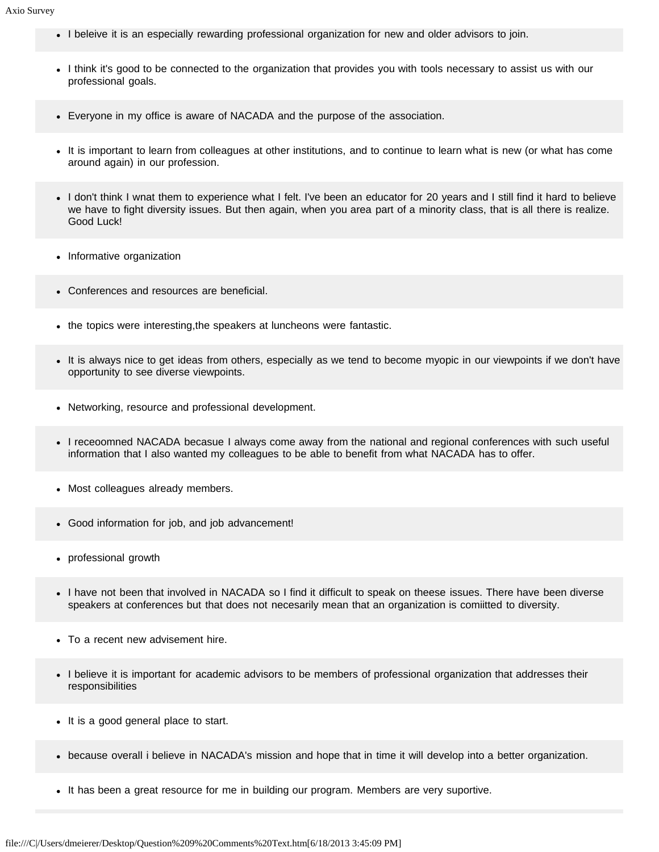- I beleive it is an especially rewarding professional organization for new and older advisors to join.
- I think it's good to be connected to the organization that provides you with tools necessary to assist us with our professional goals.
- Everyone in my office is aware of NACADA and the purpose of the association.
- It is important to learn from colleagues at other institutions, and to continue to learn what is new (or what has come around again) in our profession.
- I don't think I wnat them to experience what I felt. I've been an educator for 20 years and I still find it hard to believe we have to fight diversity issues. But then again, when you area part of a minority class, that is all there is realize. Good Luck!
- Informative organization
- Conferences and resources are beneficial.
- the topics were interesting, the speakers at luncheons were fantastic.
- It is always nice to get ideas from others, especially as we tend to become myopic in our viewpoints if we don't have opportunity to see diverse viewpoints.
- Networking, resource and professional development.
- I receoomned NACADA becasue I always come away from the national and regional conferences with such useful information that I also wanted my colleagues to be able to benefit from what NACADA has to offer.
- Most colleagues already members.
- Good information for job, and job advancement!
- professional growth
- I have not been that involved in NACADA so I find it difficult to speak on theese issues. There have been diverse speakers at conferences but that does not necesarily mean that an organization is comiitted to diversity.
- To a recent new advisement hire.
- I believe it is important for academic advisors to be members of professional organization that addresses their responsibilities
- It is a good general place to start.
- because overall i believe in NACADA's mission and hope that in time it will develop into a better organization.
- It has been a great resource for me in building our program. Members are very suportive.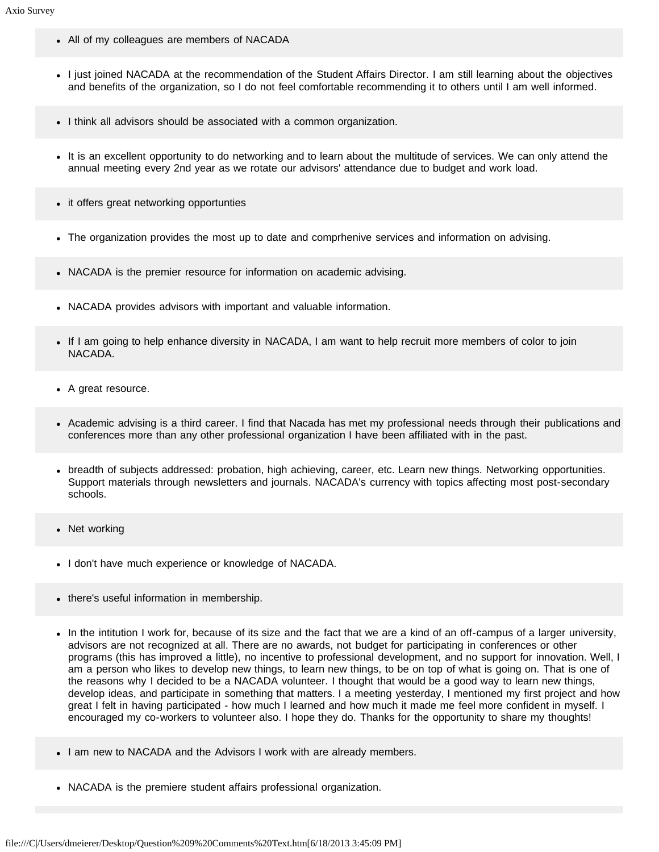- All of my colleagues are members of NACADA
- I just joined NACADA at the recommendation of the Student Affairs Director. I am still learning about the objectives and benefits of the organization, so I do not feel comfortable recommending it to others until I am well informed.
- I think all advisors should be associated with a common organization.
- It is an excellent opportunity to do networking and to learn about the multitude of services. We can only attend the annual meeting every 2nd year as we rotate our advisors' attendance due to budget and work load.
- it offers great networking opportunties
- The organization provides the most up to date and comprhenive services and information on advising.
- NACADA is the premier resource for information on academic advising.
- NACADA provides advisors with important and valuable information.
- If I am going to help enhance diversity in NACADA, I am want to help recruit more members of color to join NACADA.
- A great resource.
- Academic advising is a third career. I find that Nacada has met my professional needs through their publications and conferences more than any other professional organization I have been affiliated with in the past.
- breadth of subjects addressed: probation, high achieving, career, etc. Learn new things. Networking opportunities. Support materials through newsletters and journals. NACADA's currency with topics affecting most post-secondary schools.
- Net working
- I don't have much experience or knowledge of NACADA.
- there's useful information in membership.
- In the intitution I work for, because of its size and the fact that we are a kind of an off-campus of a larger university, advisors are not recognized at all. There are no awards, not budget for participating in conferences or other programs (this has improved a little), no incentive to professional development, and no support for innovation. Well, I am a person who likes to develop new things, to learn new things, to be on top of what is going on. That is one of the reasons why I decided to be a NACADA volunteer. I thought that would be a good way to learn new things, develop ideas, and participate in something that matters. I a meeting yesterday, I mentioned my first project and how great I felt in having participated - how much I learned and how much it made me feel more confident in myself. I encouraged my co-workers to volunteer also. I hope they do. Thanks for the opportunity to share my thoughts!
- I am new to NACADA and the Advisors I work with are already members.
- NACADA is the premiere student affairs professional organization.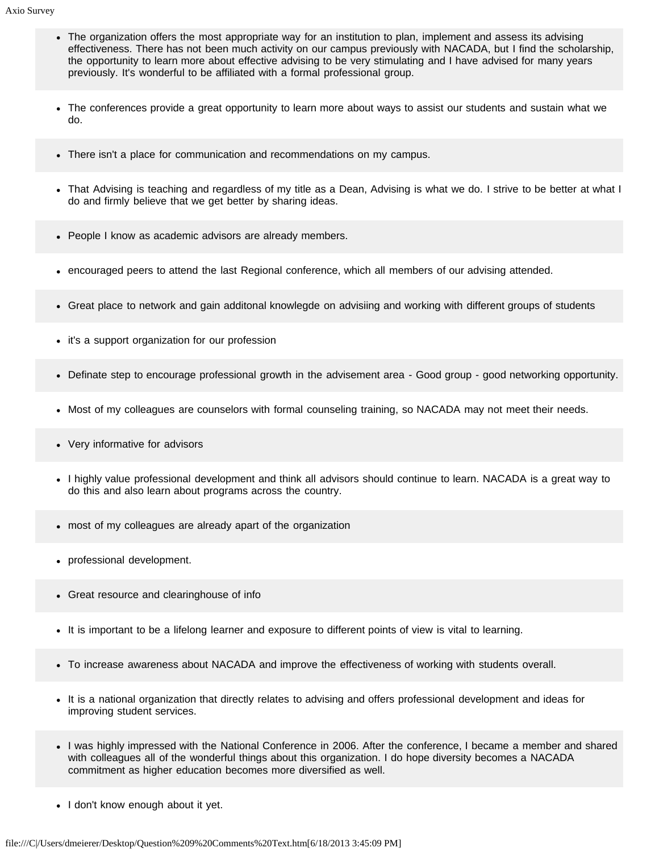- The organization offers the most appropriate way for an institution to plan, implement and assess its advising effectiveness. There has not been much activity on our campus previously with NACADA, but I find the scholarship, the opportunity to learn more about effective advising to be very stimulating and I have advised for many years previously. It's wonderful to be affiliated with a formal professional group.
- The conferences provide a great opportunity to learn more about ways to assist our students and sustain what we do.
- There isn't a place for communication and recommendations on my campus.
- That Advising is teaching and regardless of my title as a Dean, Advising is what we do. I strive to be better at what I do and firmly believe that we get better by sharing ideas.
- People I know as academic advisors are already members.
- encouraged peers to attend the last Regional conference, which all members of our advising attended.
- Great place to network and gain additonal knowlegde on advisiing and working with different groups of students
- it's a support organization for our profession
- Definate step to encourage professional growth in the advisement area Good group good networking opportunity.
- Most of my colleagues are counselors with formal counseling training, so NACADA may not meet their needs.
- Very informative for advisors
- I highly value professional development and think all advisors should continue to learn. NACADA is a great way to do this and also learn about programs across the country.
- most of my colleagues are already apart of the organization
- professional development.
- Great resource and clearinghouse of info
- It is important to be a lifelong learner and exposure to different points of view is vital to learning.
- To increase awareness about NACADA and improve the effectiveness of working with students overall.
- It is a national organization that directly relates to advising and offers professional development and ideas for improving student services.
- I was highly impressed with the National Conference in 2006. After the conference, I became a member and shared with colleagues all of the wonderful things about this organization. I do hope diversity becomes a NACADA commitment as higher education becomes more diversified as well.
- I don't know enough about it yet.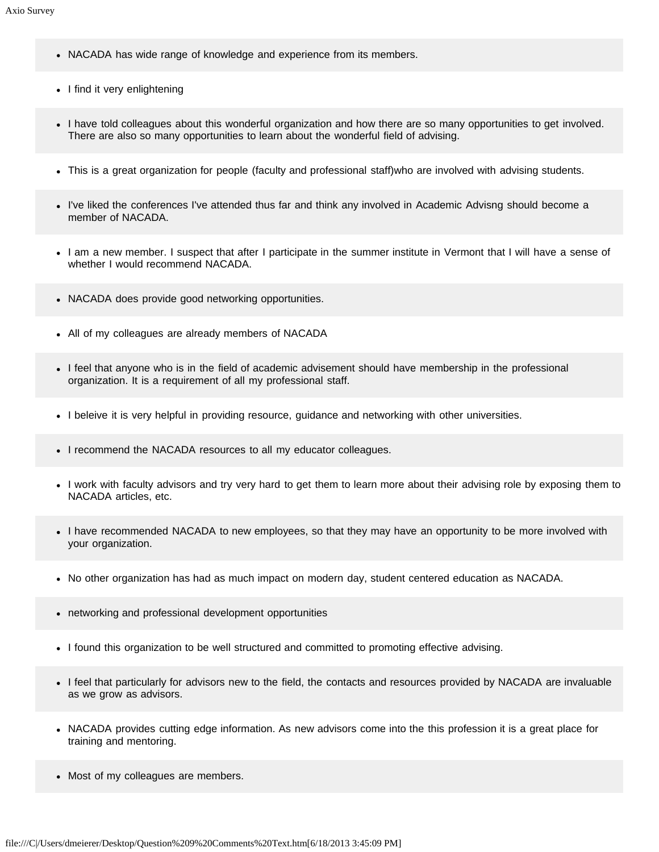- NACADA has wide range of knowledge and experience from its members.
- I find it very enlightening
- I have told colleagues about this wonderful organization and how there are so many opportunities to get involved. There are also so many opportunities to learn about the wonderful field of advising.
- This is a great organization for people (faculty and professional staff)who are involved with advising students.
- I've liked the conferences I've attended thus far and think any involved in Academic Advisng should become a member of NACADA.
- I am a new member. I suspect that after I participate in the summer institute in Vermont that I will have a sense of whether I would recommend NACADA.
- NACADA does provide good networking opportunities.
- All of my colleagues are already members of NACADA
- I feel that anyone who is in the field of academic advisement should have membership in the professional organization. It is a requirement of all my professional staff.
- I beleive it is very helpful in providing resource, guidance and networking with other universities.
- I recommend the NACADA resources to all my educator colleagues.
- I work with faculty advisors and try very hard to get them to learn more about their advising role by exposing them to NACADA articles, etc.
- I have recommended NACADA to new employees, so that they may have an opportunity to be more involved with your organization.
- No other organization has had as much impact on modern day, student centered education as NACADA.
- networking and professional development opportunities
- I found this organization to be well structured and committed to promoting effective advising.
- I feel that particularly for advisors new to the field, the contacts and resources provided by NACADA are invaluable as we grow as advisors.
- NACADA provides cutting edge information. As new advisors come into the this profession it is a great place for training and mentoring.
- Most of my colleagues are members.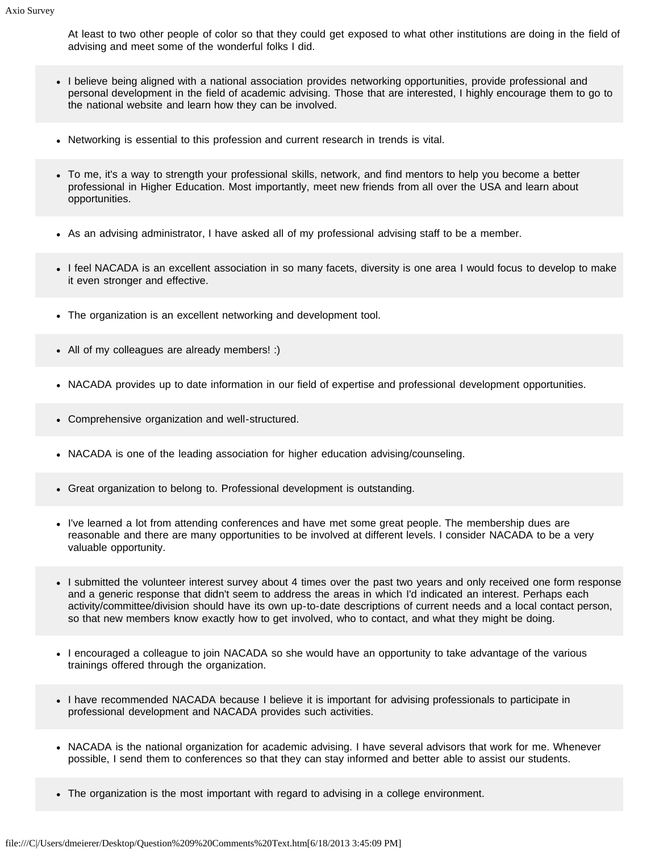At least to two other people of color so that they could get exposed to what other institutions are doing in the field of advising and meet some of the wonderful folks I did.

- I believe being aligned with a national association provides networking opportunities, provide professional and personal development in the field of academic advising. Those that are interested, I highly encourage them to go to the national website and learn how they can be involved.
- Networking is essential to this profession and current research in trends is vital.
- To me, it's a way to strength your professional skills, network, and find mentors to help you become a better professional in Higher Education. Most importantly, meet new friends from all over the USA and learn about opportunities.
- As an advising administrator, I have asked all of my professional advising staff to be a member.
- I feel NACADA is an excellent association in so many facets, diversity is one area I would focus to develop to make it even stronger and effective.
- The organization is an excellent networking and development tool.
- All of my colleagues are already members! :)
- NACADA provides up to date information in our field of expertise and professional development opportunities.
- Comprehensive organization and well-structured.
- NACADA is one of the leading association for higher education advising/counseling.
- Great organization to belong to. Professional development is outstanding.
- I've learned a lot from attending conferences and have met some great people. The membership dues are reasonable and there are many opportunities to be involved at different levels. I consider NACADA to be a very valuable opportunity.
- I submitted the volunteer interest survey about 4 times over the past two years and only received one form response and a generic response that didn't seem to address the areas in which I'd indicated an interest. Perhaps each activity/committee/division should have its own up-to-date descriptions of current needs and a local contact person, so that new members know exactly how to get involved, who to contact, and what they might be doing.
- I encouraged a colleague to join NACADA so she would have an opportunity to take advantage of the various trainings offered through the organization.
- I have recommended NACADA because I believe it is important for advising professionals to participate in professional development and NACADA provides such activities.
- NACADA is the national organization for academic advising. I have several advisors that work for me. Whenever possible, I send them to conferences so that they can stay informed and better able to assist our students.
- The organization is the most important with regard to advising in a college environment.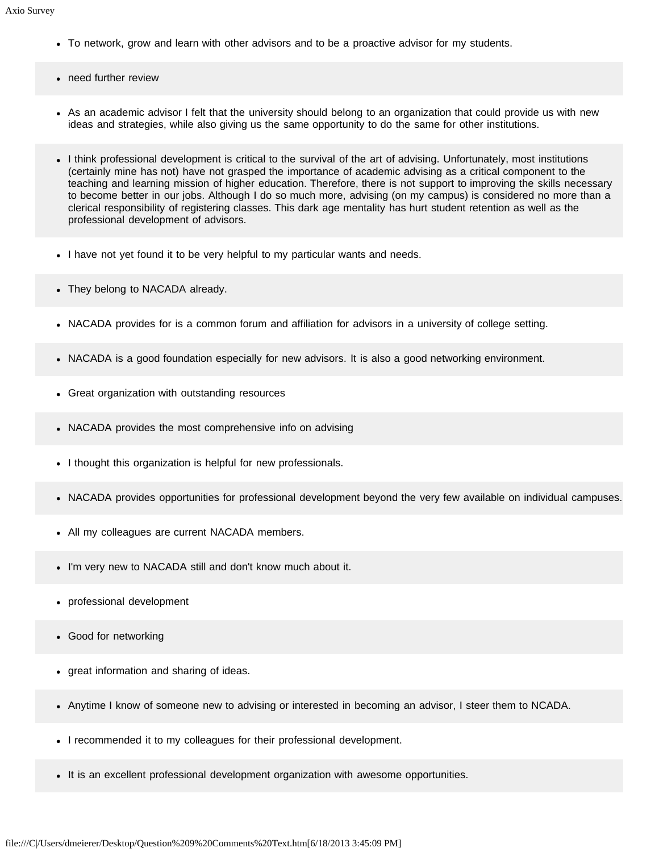- To network, grow and learn with other advisors and to be a proactive advisor for my students.
- need further review
- As an academic advisor I felt that the university should belong to an organization that could provide us with new ideas and strategies, while also giving us the same opportunity to do the same for other institutions.
- I think professional development is critical to the survival of the art of advising. Unfortunately, most institutions (certainly mine has not) have not grasped the importance of academic advising as a critical component to the teaching and learning mission of higher education. Therefore, there is not support to improving the skills necessary to become better in our jobs. Although I do so much more, advising (on my campus) is considered no more than a clerical responsibility of registering classes. This dark age mentality has hurt student retention as well as the professional development of advisors.
- I have not yet found it to be very helpful to my particular wants and needs.
- They belong to NACADA already.
- NACADA provides for is a common forum and affiliation for advisors in a university of college setting.
- NACADA is a good foundation especially for new advisors. It is also a good networking environment.
- Great organization with outstanding resources
- NACADA provides the most comprehensive info on advising
- I thought this organization is helpful for new professionals.
- NACADA provides opportunities for professional development beyond the very few available on individual campuses.
- All my colleagues are current NACADA members.
- I'm very new to NACADA still and don't know much about it.
- professional development
- Good for networking
- great information and sharing of ideas.
- Anytime I know of someone new to advising or interested in becoming an advisor, I steer them to NCADA.
- I recommended it to my colleagues for their professional development.
- It is an excellent professional development organization with awesome opportunities.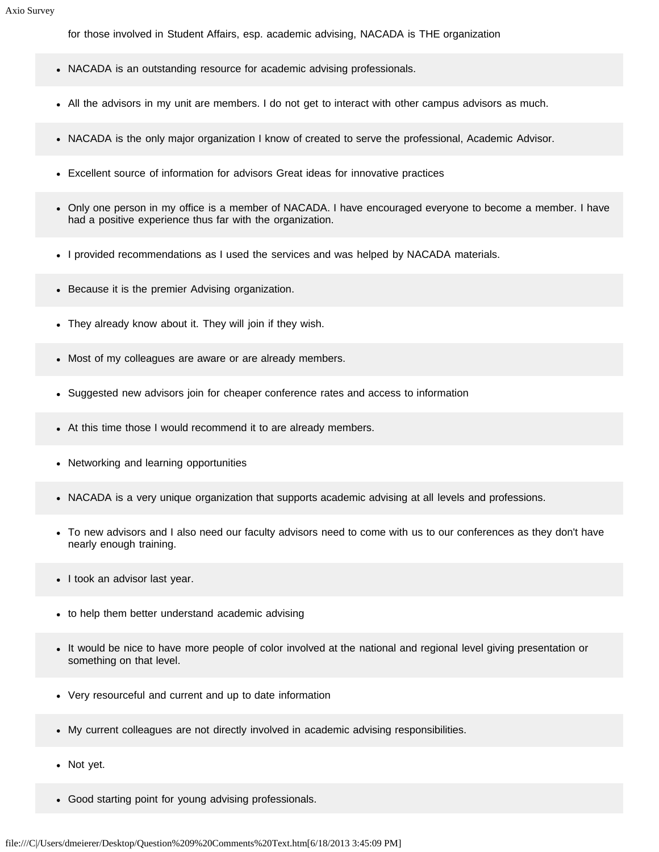for those involved in Student Affairs, esp. academic advising, NACADA is THE organization

- NACADA is an outstanding resource for academic advising professionals.
- All the advisors in my unit are members. I do not get to interact with other campus advisors as much.
- NACADA is the only major organization I know of created to serve the professional, Academic Advisor.
- Excellent source of information for advisors Great ideas for innovative practices
- Only one person in my office is a member of NACADA. I have encouraged everyone to become a member. I have had a positive experience thus far with the organization.
- I provided recommendations as I used the services and was helped by NACADA materials.
- Because it is the premier Advising organization.
- They already know about it. They will join if they wish.
- Most of my colleagues are aware or are already members.
- Suggested new advisors join for cheaper conference rates and access to information
- At this time those I would recommend it to are already members.
- Networking and learning opportunities
- NACADA is a very unique organization that supports academic advising at all levels and professions.
- To new advisors and I also need our faculty advisors need to come with us to our conferences as they don't have nearly enough training.
- I took an advisor last year.
- to help them better understand academic advising
- It would be nice to have more people of color involved at the national and regional level giving presentation or something on that level.
- Very resourceful and current and up to date information
- My current colleagues are not directly involved in academic advising responsibilities.
- Not yet.
- Good starting point for young advising professionals.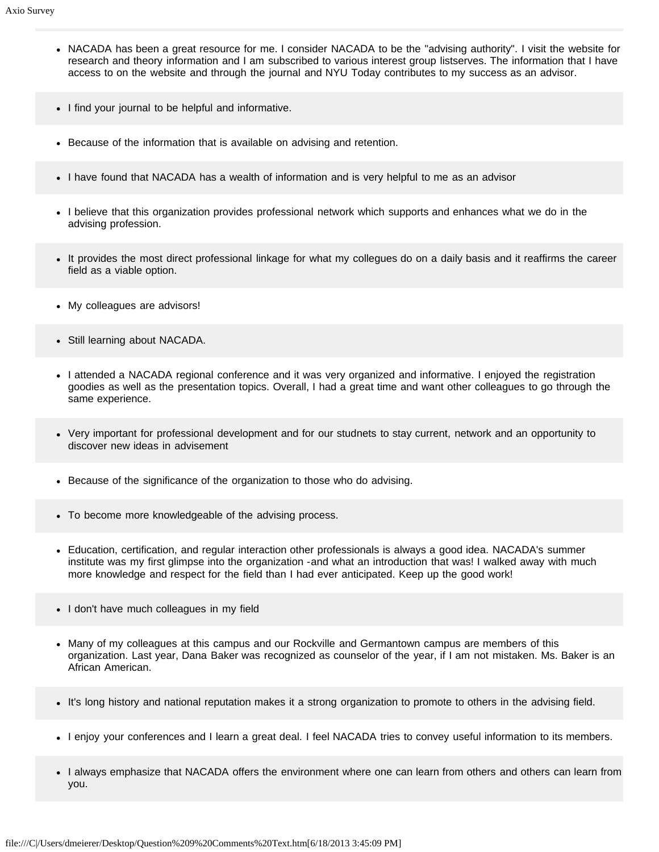- NACADA has been a great resource for me. I consider NACADA to be the "advising authority". I visit the website for research and theory information and I am subscribed to various interest group listserves. The information that I have access to on the website and through the journal and NYU Today contributes to my success as an advisor.
- I find your journal to be helpful and informative.
- Because of the information that is available on advising and retention.
- I have found that NACADA has a wealth of information and is very helpful to me as an advisor
- I believe that this organization provides professional network which supports and enhances what we do in the advising profession.
- It provides the most direct professional linkage for what my collegues do on a daily basis and it reaffirms the career field as a viable option.
- My colleagues are advisors!
- Still learning about NACADA.
- I attended a NACADA regional conference and it was very organized and informative. I enjoyed the registration goodies as well as the presentation topics. Overall, I had a great time and want other colleagues to go through the same experience.
- Very important for professional development and for our studnets to stay current, network and an opportunity to discover new ideas in advisement
- Because of the significance of the organization to those who do advising.
- To become more knowledgeable of the advising process.
- Education, certification, and regular interaction other professionals is always a good idea. NACADA's summer institute was my first glimpse into the organization -and what an introduction that was! I walked away with much more knowledge and respect for the field than I had ever anticipated. Keep up the good work!
- I don't have much colleagues in my field
- Many of my colleagues at this campus and our Rockville and Germantown campus are members of this organization. Last year, Dana Baker was recognized as counselor of the year, if I am not mistaken. Ms. Baker is an African American.
- It's long history and national reputation makes it a strong organization to promote to others in the advising field.
- I enjoy your conferences and I learn a great deal. I feel NACADA tries to convey useful information to its members.
- I always emphasize that NACADA offers the environment where one can learn from others and others can learn from you.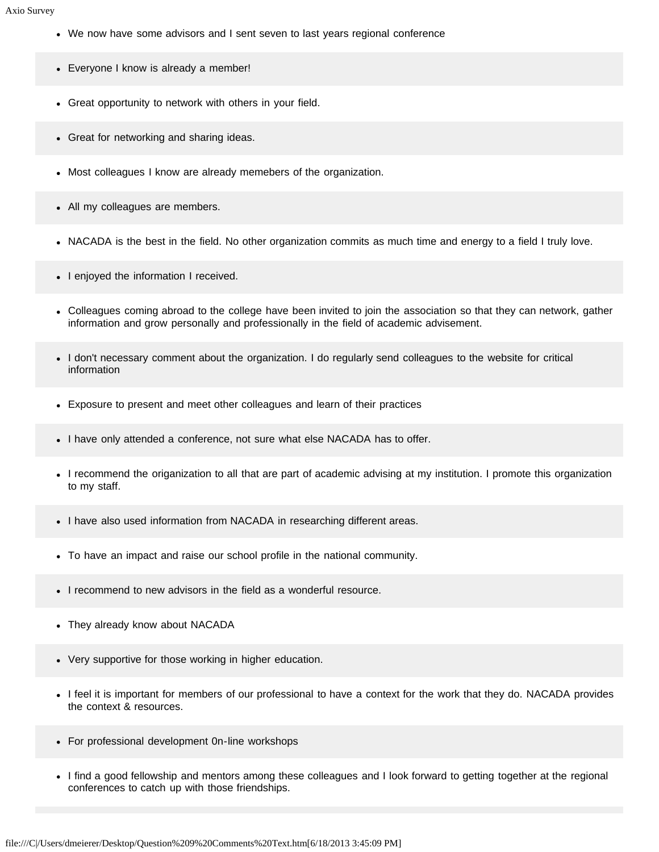- We now have some advisors and I sent seven to last years regional conference
- Everyone I know is already a member!
- Great opportunity to network with others in your field.
- Great for networking and sharing ideas.
- Most colleagues I know are already memebers of the organization.
- All my colleagues are members.
- NACADA is the best in the field. No other organization commits as much time and energy to a field I truly love.
- I enjoyed the information I received.
- Colleagues coming abroad to the college have been invited to join the association so that they can network, gather information and grow personally and professionally in the field of academic advisement.
- I don't necessary comment about the organization. I do regularly send colleagues to the website for critical information
- Exposure to present and meet other colleagues and learn of their practices
- I have only attended a conference, not sure what else NACADA has to offer.
- I recommend the origanization to all that are part of academic advising at my institution. I promote this organization to my staff.
- I have also used information from NACADA in researching different areas.
- To have an impact and raise our school profile in the national community.
- I recommend to new advisors in the field as a wonderful resource.
- They already know about NACADA
- Very supportive for those working in higher education.
- I feel it is important for members of our professional to have a context for the work that they do. NACADA provides the context & resources.
- For professional development 0n-line workshops
- I find a good fellowship and mentors among these colleagues and I look forward to getting together at the regional conferences to catch up with those friendships.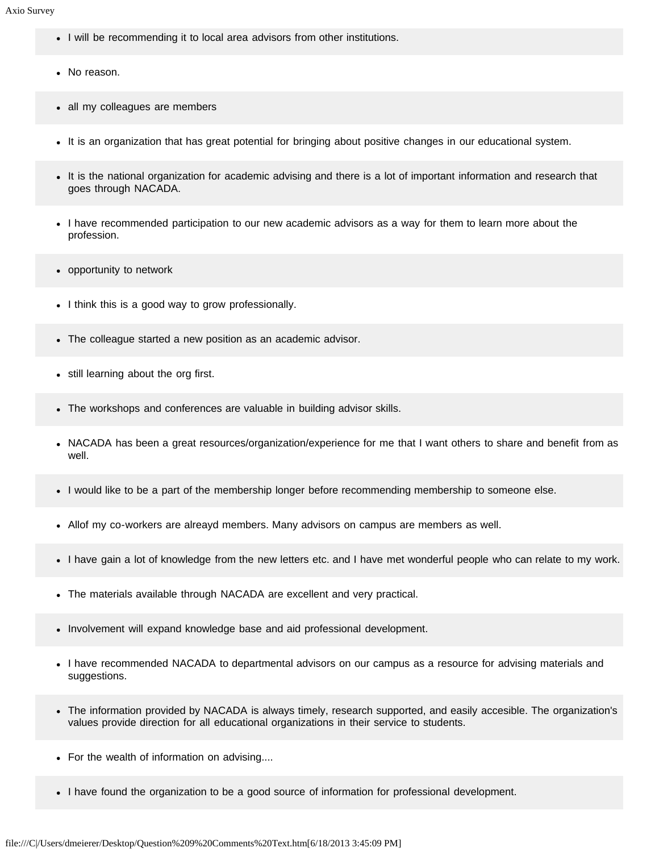- I will be recommending it to local area advisors from other institutions.
- No reason.
- all my colleagues are members
- It is an organization that has great potential for bringing about positive changes in our educational system.
- It is the national organization for academic advising and there is a lot of important information and research that goes through NACADA.
- I have recommended participation to our new academic advisors as a way for them to learn more about the profession.
- opportunity to network
- I think this is a good way to grow professionally.
- The colleague started a new position as an academic advisor.
- still learning about the org first.  $\bullet$
- The workshops and conferences are valuable in building advisor skills.
- NACADA has been a great resources/organization/experience for me that I want others to share and benefit from as well.
- I would like to be a part of the membership longer before recommending membership to someone else.
- Allof my co-workers are alreayd members. Many advisors on campus are members as well.
- I have gain a lot of knowledge from the new letters etc. and I have met wonderful people who can relate to my work.
- The materials available through NACADA are excellent and very practical.
- Involvement will expand knowledge base and aid professional development.
- I have recommended NACADA to departmental advisors on our campus as a resource for advising materials and suggestions.
- The information provided by NACADA is always timely, research supported, and easily accesible. The organization's values provide direction for all educational organizations in their service to students.
- For the wealth of information on advising....
- I have found the organization to be a good source of information for professional development.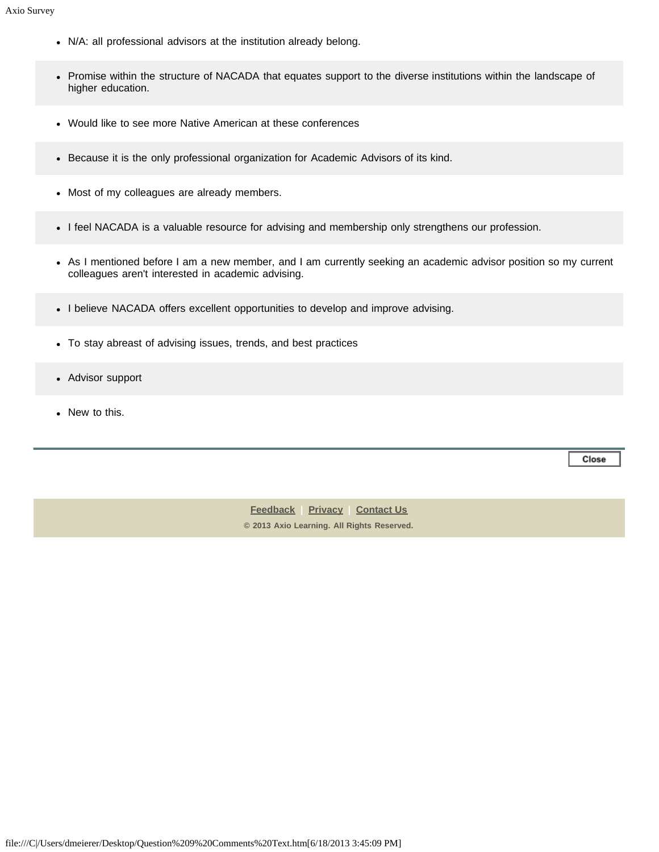- N/A: all professional advisors at the institution already belong.
- Promise within the structure of NACADA that equates support to the diverse institutions within the landscape of higher education.
- Would like to see more Native American at these conferences
- Because it is the only professional organization for Academic Advisors of its kind.
- Most of my colleagues are already members.
- I feel NACADA is a valuable resource for advising and membership only strengthens our profession.
- As I mentioned before I am a new member, and I am currently seeking an academic advisor position so my current colleagues aren't interested in academic advising.
- I believe NACADA offers excellent opportunities to develop and improve advising.
- To stay abreast of advising issues, trends, and best practices
- Advisor support
- New to this.

Close

**[Feedback](https://online.ksu.edu/Survey/public/feedback.jsp) | [Privacy](https://online.ksu.edu/Survey/public/privacy.jsp) | [Contact Us](https://online.ksu.edu/Survey/public/plain_about_us.jsp) © 2013 Axio Learning. All Rights Reserved.**